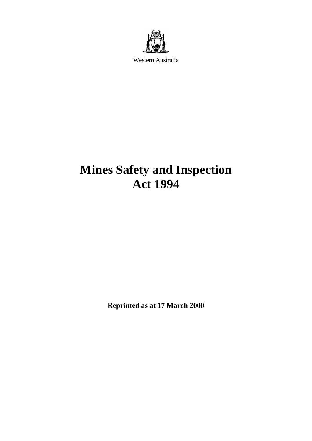

Western Australia

# **Mines Safety and Inspection Act 1994**

**Reprinted as at 17 March 2000**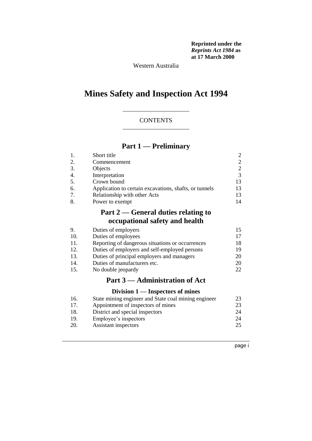**Reprinted under the**  *Reprints Act 1984* **as at 17 March 2000**

Western Australia

# **Mines Safety and Inspection Act 1994**

### **CONTENTS**

### **Part 1 — Preliminary**

|    | Short title                                            |    |
|----|--------------------------------------------------------|----|
| 2. | Commencement                                           | 2  |
| 3. | Objects                                                | 2  |
|    | Interpretation                                         | 3  |
| 5. | Crown bound                                            | 13 |
| 6. | Application to certain excavations, shafts, or tunnels | 13 |
| 7. | Relationship with other Acts                           | 13 |
|    | Power to exempt                                        | 14 |

# **Part 2 — General duties relating to occupational safety and health**

| 9.  | Duties of employers                                                                                                                                                                                                                                                                                                                                                                                                                                                                        | 15  |
|-----|--------------------------------------------------------------------------------------------------------------------------------------------------------------------------------------------------------------------------------------------------------------------------------------------------------------------------------------------------------------------------------------------------------------------------------------------------------------------------------------------|-----|
| 10. | Duties of employees                                                                                                                                                                                                                                                                                                                                                                                                                                                                        | 17  |
| 11. | Reporting of dangerous situations or occurrences                                                                                                                                                                                                                                                                                                                                                                                                                                           | 18  |
| 12. | Duties of employers and self-employed persons                                                                                                                                                                                                                                                                                                                                                                                                                                              | 19  |
| 13. | Duties of principal employers and managers                                                                                                                                                                                                                                                                                                                                                                                                                                                 | 20  |
| 14. | Duties of manufacturers etc.                                                                                                                                                                                                                                                                                                                                                                                                                                                               | 20  |
| 15. | No double jeopardy                                                                                                                                                                                                                                                                                                                                                                                                                                                                         | 22. |
|     | $\blacksquare$ $\blacksquare$ $\blacksquare$ $\blacksquare$ $\blacksquare$ $\blacksquare$ $\blacksquare$ $\blacksquare$ $\blacksquare$ $\blacksquare$ $\blacksquare$ $\blacksquare$ $\blacksquare$ $\blacksquare$ $\blacksquare$ $\blacksquare$ $\blacksquare$ $\blacksquare$ $\blacksquare$ $\blacksquare$ $\blacksquare$ $\blacksquare$ $\blacksquare$ $\blacksquare$ $\blacksquare$ $\blacksquare$ $\blacksquare$ $\blacksquare$ $\blacksquare$ $\blacksquare$ $\blacksquare$ $\blacks$ |     |

### **Part 3 — Administration of Act**

#### **Division 1 — Inspectors of mines**

| 16. | State mining engineer and State coal mining engineer | 23 |
|-----|------------------------------------------------------|----|
| 17. | Appointment of inspectors of mines                   | 23 |
| 18. | District and special inspectors                      | 24 |
| 19. | Employee's inspectors                                | 24 |
| 20. | Assistant inspectors                                 | 25 |
|     |                                                      |    |

page i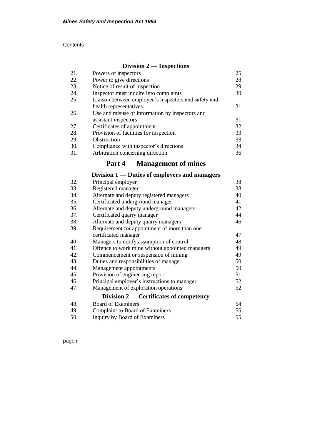| Contents |
|----------|
|----------|

### **Division 2 — Inspections**

| 21. | Powers of inspectors                                 | 25 |
|-----|------------------------------------------------------|----|
| 22. | Power to give directions                             | 28 |
| 23. | Notice of result of inspection                       | 29 |
| 24. | Inspector must inquire into complaints               | 30 |
| 25. | Liaison between employee's inspectors and safety and |    |
|     | health representatives                               | 31 |
| 26. | Use and misuse of information by inspectors and      |    |
|     | assistant inspectors                                 | 31 |
| 27. | Certificates of appointment                          | 32 |
| 28. | Provision of facilities for inspection               | 33 |
| 29. | Obstruction                                          | 33 |
| 30. | Compliance with inspector's directions               | 34 |
| 31. | Arbitration concerning direction                     | 36 |

# **Part 4 — Management of mines**

# **Division 1 — Duties of employers and managers**

| 32. | Principal employer                              | 38 |
|-----|-------------------------------------------------|----|
| 33. | Registered manager                              | 38 |
| 34. | Alternate and deputy registered managers        | 40 |
| 35. | Certificated underground manager                | 41 |
| 36. | Alternate and deputy underground managers       | 42 |
| 37. | Certificated quarry manager                     | 44 |
| 38. | Alternate and deputy quarry managers            | 46 |
| 39. | Requirement for appointment of more than one    |    |
|     | certificated manager                            | 47 |
| 40. | Managers to notify assumption of control        | 48 |
| 41. | Offence to work mine without appointed managers | 49 |
| 42. | Commencement or suspension of mining            | 49 |
| 43. | Duties and responsibilities of manager          | 50 |
| 44. | Management appointments                         | 50 |
| 45. | Provision of engineering report                 | 51 |
| 46. | Principal employer's instructions to manager    | 52 |
| 47. | Management of exploration operations            | 52 |
|     | Division $2$ — Certificates of competency       |    |
| 48. | Board of Examiners                              | 54 |
| 49. | Complaint to Board of Examiners                 | 55 |
| 50. | Inquiry by Board of Examiners                   | 55 |
|     |                                                 |    |

page ii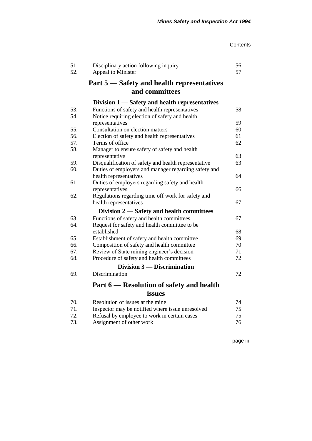| Contents |
|----------|
|----------|

| 51.<br>52. | Disciplinary action following inquiry<br>Appeal to Minister | 56<br>57 |
|------------|-------------------------------------------------------------|----------|
|            | Part 5 – Safety and health representatives                  |          |
|            | and committees                                              |          |
|            | Division 1 — Safety and health representatives              |          |
| 53.        | Functions of safety and health representatives              | 58       |
| 54.        | Notice requiring election of safety and health              |          |
|            | representatives                                             | 59       |
| 55.        | Consultation on election matters                            | 60       |
| 56.        | Election of safety and health representatives               | 61       |
| 57.        | Terms of office                                             | 62       |
| 58.        | Manager to ensure safety of safety and health               |          |
|            | representative                                              | 63       |
| 59.        | Disqualification of safety and health representative        | 63       |
| 60.        | Duties of employers and manager regarding safety and        |          |
|            | health representatives                                      | 64       |
| 61.        | Duties of employers regarding safety and health             |          |
| 62.        | representatives                                             | 66       |
|            | Regulations regarding time off work for safety and          | 67       |
|            | health representatives                                      |          |
|            | Division 2 – Safety and health committees                   |          |
| 63.        | Functions of safety and health committees                   | 67       |
| 64.        | Request for safety and health committee to be               |          |
|            | established                                                 | 68       |
| 65.        | Establishment of safety and health committee                | 69       |
| 66.        | Composition of safety and health committee                  | 70       |
| 67.        | Review of State mining engineer's decision                  | 71       |
| 68.        | Procedure of safety and health committees                   | 72       |
|            | Division $3$ — Discrimination                               |          |
| 69.        | Discrimination                                              | 72       |
|            | Part 6 – Resolution of safety and health                    |          |
|            | issues                                                      |          |
| 70.        | Resolution of issues at the mine                            | 74       |
| 71.        | Inspector may be notified where issue unresolved            | 75       |
| 72.        | Refusal by employee to work in certain cases                | 75       |
| 73.        | Assignment of other work                                    | 76       |
|            |                                                             |          |

page iii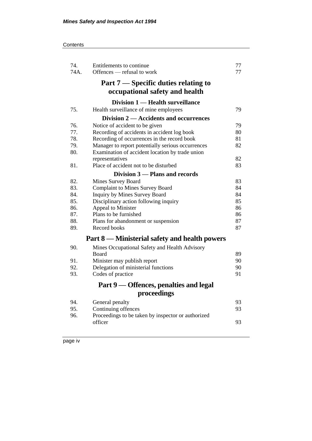#### **Contents**

| 74.<br>74A. | Entitlements to continue<br>Offences — refusal to work | 77<br>77 |
|-------------|--------------------------------------------------------|----------|
|             | Part 7 — Specific duties relating to                   |          |
|             | occupational safety and health                         |          |
|             | Division 1 — Health surveillance                       |          |
| 75.         | Health surveillance of mine employees                  | 79       |
|             | Division 2 — Accidents and occurrences                 |          |
| 76.         | Notice of accident to be given                         | 79       |
| 77.         | Recording of accidents in accident log book            | 80       |
| 78.         | Recording of occurrences in the record book            | 81       |
| 79.         | Manager to report potentially serious occurrences      | 82       |
| 80.         | Examination of accident location by trade union        |          |
|             | representatives                                        | 82       |
| 81.         | Place of accident not to be disturbed                  | 83       |
|             | Division 3 – Plans and records                         |          |
| 82.         | Mines Survey Board                                     | 83       |
| 83.         | <b>Complaint to Mines Survey Board</b>                 | 84       |
| 84.         | Inquiry by Mines Survey Board                          | 84       |
| 85.         | Disciplinary action following inquiry                  | 85       |
| 86.         | Appeal to Minister                                     | 86       |
| 87.         | Plans to be furnished                                  | 86       |
| 88.         | Plans for abandonment or suspension                    | 87       |
| 89.         | Record books                                           | 87       |
|             | Part 8 — Ministerial safety and health powers          |          |
| 90.         | Mines Occupational Safety and Health Advisory          |          |
|             | <b>Board</b>                                           | 89       |
| 91.         | Minister may publish report                            | 90       |
| 92.         | Delegation of ministerial functions                    | 90       |
| 93.         | Codes of practice                                      | 91       |
|             |                                                        |          |
|             | Part 9 — Offences, penalties and legal                 |          |
|             | proceedings                                            |          |
| 94.         | General penalty                                        | 93       |
| 95.         | Continuing offences                                    | 93       |
| 96.         | Proceedings to be taken by inspector or authorized     |          |
|             | officer                                                | 93       |
|             |                                                        |          |

page iv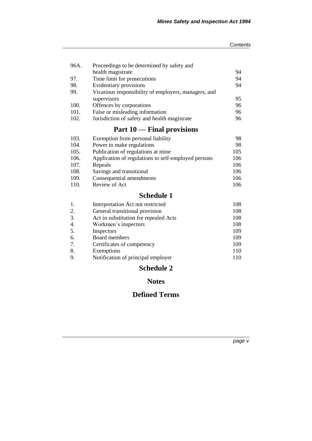#### **Contents**

| 96A. | Proceedings to be determined by safety and           |     |
|------|------------------------------------------------------|-----|
|      | health magistrate                                    | 94  |
| 97.  | Time limit for prosecutions                          | 94  |
| 98.  | Evidentiary provisions                               | 94  |
| 99.  | Vicarious responsibility of employers, managers, and |     |
|      | supervisors                                          | 95  |
| 100. | Offences by corporations                             | 96  |
| 101. | False or misleading information                      | 96  |
| 102. | Jurisdiction of safety and health magistrate         | 96  |
|      | Part 10 — Final provisions                           |     |
| 103. | Exemption from personal liability                    | 98  |
| 104. | Power to make regulations                            | 98  |
| 105. | Publication of regulations at mine                   | 105 |
| 106. | Application of regulations to self-employed persons  | 106 |
| 107. | Repeals                                              | 106 |
| 108. | Savings and transitional                             | 106 |
| 109. | Consequential amendments                             | 106 |

## 110. Review of Act 106

# **Schedule 1**

|    | Interpretation Act not restricted     | 108 |
|----|---------------------------------------|-----|
| 2. | General transitional provision        | 108 |
| 3. | Act in substitution for repealed Acts | 108 |
| 4. | Workmen's inspectors                  | 108 |
| 5. | Inspectors                            | 109 |
| 6. | Board members                         | 109 |
| 7. | Certificates of competency            | 109 |
| 8. | Exemptions                            | 110 |
|    | Notification of principal employer    | 110 |

# **Schedule 2**

# **Notes**

# **Defined Terms**

page v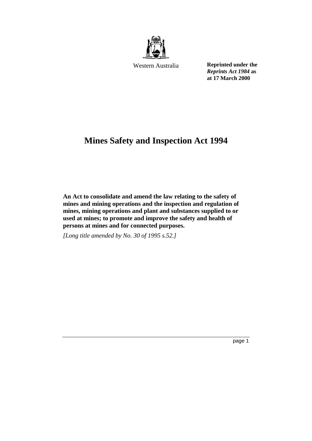

Western Australia

**Reprinted under the**  *Reprints Act 1984* **as at 17 March 2000**

# **Mines Safety and Inspection Act 1994**

**An Act to consolidate and amend the law relating to the safety of mines and mining operations and the inspection and regulation of mines, mining operations and plant and substances supplied to or used at mines; to promote and improve the safety and health of persons at mines and for connected purposes.** 

*[Long title amended by No. 30 of 1995 s.52.]*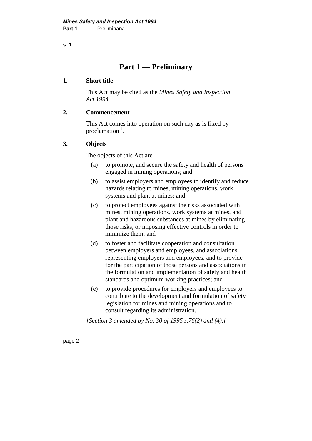# **Part 1 — Preliminary**

#### **1. Short title**

This Act may be cited as the *Mines Safety and Inspection Act 1994* <sup>1</sup> .

### **2. Commencement**

This Act comes into operation on such day as is fixed by proclamation  $<sup>1</sup>$ .</sup>

#### **3. Objects**

The objects of this Act are —

- (a) to promote, and secure the safety and health of persons engaged in mining operations; and
- (b) to assist employers and employees to identify and reduce hazards relating to mines, mining operations, work systems and plant at mines; and
- (c) to protect employees against the risks associated with mines, mining operations, work systems at mines, and plant and hazardous substances at mines by eliminating those risks, or imposing effective controls in order to minimize them; and
- (d) to foster and facilitate cooperation and consultation between employers and employees, and associations representing employers and employees, and to provide for the participation of those persons and associations in the formulation and implementation of safety and health standards and optimum working practices; and
- (e) to provide procedures for employers and employees to contribute to the development and formulation of safety legislation for mines and mining operations and to consult regarding its administration.

*[Section 3 amended by No. 30 of 1995 s.76(2) and (4).]*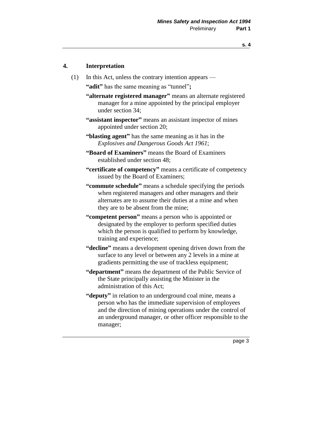### **4. Interpretation**

(1) In this Act, unless the contrary intention appears —

**"adit"** has the same meaning as "tunnel"**;**

- **"alternate registered manager"** means an alternate registered manager for a mine appointed by the principal employer under section 34;
- **"assistant inspector"** means an assistant inspector of mines appointed under section 20;
- **"blasting agent"** has the same meaning as it has in the *Explosives and Dangerous Goods Act 1961*;
- **"Board of Examiners"** means the Board of Examiners established under section 48;
- **"certificate of competency"** means a certificate of competency issued by the Board of Examiners;
- **"commute schedule"** means a schedule specifying the periods when registered managers and other managers and their alternates are to assume their duties at a mine and when they are to be absent from the mine;
- **"competent person"** means a person who is appointed or designated by the employer to perform specified duties which the person is qualified to perform by knowledge, training and experience;
- **"decline"** means a development opening driven down from the surface to any level or between any 2 levels in a mine at gradients permitting the use of trackless equipment;
- **"department"** means the department of the Public Service of the State principally assisting the Minister in the administration of this Act;
- **"deputy"** in relation to an underground coal mine, means a person who has the immediate supervision of employees and the direction of mining operations under the control of an underground manager, or other officer responsible to the manager;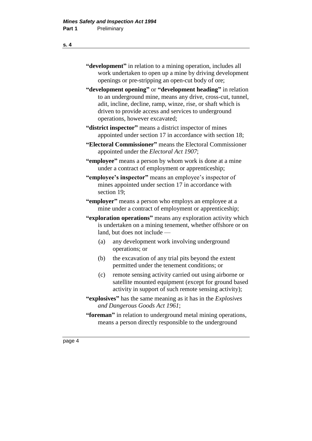### **"development"** in relation to a mining operation, includes all work undertaken to open up a mine by driving development openings or pre-stripping an open-cut body of ore;

- **"development opening"** or **"development heading"** in relation to an underground mine, means any drive, cross-cut, tunnel, adit, incline, decline, ramp, winze, rise, or shaft which is driven to provide access and services to underground operations, however excavated;
- **"district inspector"** means a district inspector of mines appointed under section 17 in accordance with section 18;
- **"Electoral Commissioner"** means the Electoral Commissioner appointed under the *Electoral Act 1907*;
- **"employee"** means a person by whom work is done at a mine under a contract of employment or apprenticeship;
- **"employee's inspector"** means an employee's inspector of mines appointed under section 17 in accordance with section 19;
- **"employer"** means a person who employs an employee at a mine under a contract of employment or apprenticeship;
- **"exploration operations"** means any exploration activity which is undertaken on a mining tenement, whether offshore or on land, but does not include —
	- (a) any development work involving underground operations; or
	- (b) the excavation of any trial pits beyond the extent permitted under the tenement conditions; or
	- (c) remote sensing activity carried out using airborne or satellite mounted equipment (except for ground based activity in support of such remote sensing activity);
- **"explosives"** has the same meaning as it has in the *Explosives and Dangerous Goods Act 1961*;
- **"foreman"** in relation to underground metal mining operations, means a person directly responsible to the underground

#### **s. 4**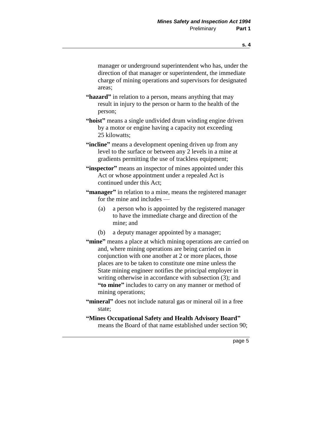manager or underground superintendent who has, under the direction of that manager or superintendent, the immediate charge of mining operations and supervisors for designated areas;

- **"hazard"** in relation to a person, means anything that may result in injury to the person or harm to the health of the person;
- **"hoist"** means a single undivided drum winding engine driven by a motor or engine having a capacity not exceeding 25 kilowatts;
- "incline" means a development opening driven up from any level to the surface or between any 2 levels in a mine at gradients permitting the use of trackless equipment;
- **"inspector"** means an inspector of mines appointed under this Act or whose appointment under a repealed Act is continued under this Act;
- **"manager"** in relation to a mine, means the registered manager for the mine and includes —
	- (a) a person who is appointed by the registered manager to have the immediate charge and direction of the mine; and
	- (b) a deputy manager appointed by a manager;
- **"mine"** means a place at which mining operations are carried on and, where mining operations are being carried on in conjunction with one another at 2 or more places, those places are to be taken to constitute one mine unless the State mining engineer notifies the principal employer in writing otherwise in accordance with subsection (3); and **"to mine"** includes to carry on any manner or method of mining operations;
- **"mineral"** does not include natural gas or mineral oil in a free state;
- **"Mines Occupational Safety and Health Advisory Board"** means the Board of that name established under section 90;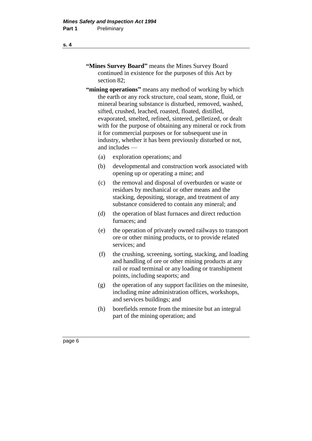- **"Mines Survey Board"** means the Mines Survey Board continued in existence for the purposes of this Act by section 82;
- **"mining operations"** means any method of working by which the earth or any rock structure, coal seam, stone, fluid, or mineral bearing substance is disturbed, removed, washed, sifted, crushed, leached, roasted, floated, distilled, evaporated, smelted, refined, sintered, pelletized, or dealt with for the purpose of obtaining any mineral or rock from it for commercial purposes or for subsequent use in industry, whether it has been previously disturbed or not, and includes —
	- (a) exploration operations; and
	- (b) developmental and construction work associated with opening up or operating a mine; and
	- (c) the removal and disposal of overburden or waste or residues by mechanical or other means and the stacking, depositing, storage, and treatment of any substance considered to contain any mineral; and
	- (d) the operation of blast furnaces and direct reduction furnaces; and
	- (e) the operation of privately owned railways to transport ore or other mining products, or to provide related services; and
	- (f) the crushing, screening, sorting, stacking, and loading and handling of ore or other mining products at any rail or road terminal or any loading or transhipment points, including seaports; and
	- (g) the operation of any support facilities on the minesite, including mine administration offices, workshops, and services buildings; and
	- (h) borefields remote from the minesite but an integral part of the mining operation; and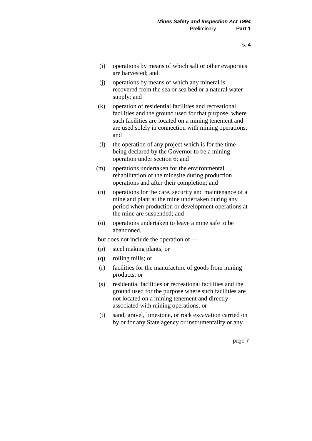- (i) operations by means of which salt or other evaporites are harvested; and
- (j) operations by means of which any mineral is recovered from the sea or sea bed or a natural water supply; and
- (k) operation of residential facilities and recreational facilities and the ground used for that purpose, where such facilities are located on a mining tenement and are used solely in connection with mining operations; and
- (l) the operation of any project which is for the time being declared by the Governor to be a mining operation under section 6; and
- (m) operations undertaken for the environmental rehabilitation of the minesite during production operations and after their completion; and
- (n) operations for the care, security and maintenance of a mine and plant at the mine undertaken during any period when production or development operations at the mine are suspended; and
- (o) operations undertaken to leave a mine safe to be abandoned,

but does not include the operation of —

- (p) steel making plants; or
- (q) rolling mills; or
- (r) facilities for the manufacture of goods from mining products; or
- (s) residential facilities or recreational facilities and the ground used for the purpose where such facilities are not located on a mining tenement and directly associated with mining operations; or
- (t) sand, gravel, limestone, or rock excavation carried on by or for any State agency or instrumentality or any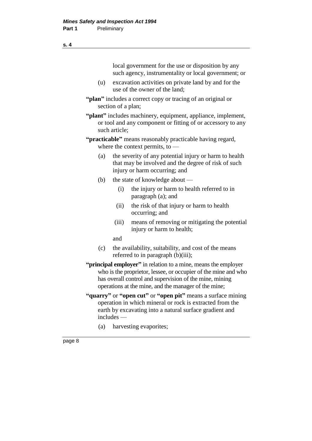local government for the use or disposition by any such agency, instrumentality or local government; or (u) excavation activities on private land by and for the use of the owner of the land; **"plan"** includes a correct copy or tracing of an original or section of a plan; **"plant"** includes machinery, equipment, appliance, implement, or tool and any component or fitting of or accessory to any such article; **"practicable"** means reasonably practicable having regard, where the context permits, to -(a) the severity of any potential injury or harm to health that may be involved and the degree of risk of such injury or harm occurring; and (b) the state of knowledge about —

- (i) the injury or harm to health referred to in paragraph (a); and
- (ii) the risk of that injury or harm to health occurring; and
- (iii) means of removing or mitigating the potential injury or harm to health;

and

- (c) the availability, suitability, and cost of the means referred to in paragraph (b)(iii);
- **"principal employer"** in relation to a mine, means the employer who is the proprietor, lessee, or occupier of the mine and who has overall control and supervision of the mine, mining operations at the mine, and the manager of the mine;
- **"quarry"** or **"open cut"** or **"open pit"** means a surface mining operation in which mineral or rock is extracted from the earth by excavating into a natural surface gradient and includes —
	- (a) harvesting evaporites;

**s. 4**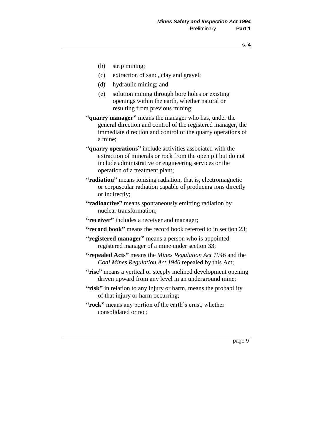- (b) strip mining;
- (c) extraction of sand, clay and gravel;
- (d) hydraulic mining; and
- (e) solution mining through bore holes or existing openings within the earth, whether natural or resulting from previous mining;
- **"quarry manager"** means the manager who has, under the general direction and control of the registered manager, the immediate direction and control of the quarry operations of a mine;
- **"quarry operations"** include activities associated with the extraction of minerals or rock from the open pit but do not include administrative or engineering services or the operation of a treatment plant;
- **"radiation"** means ionising radiation, that is, electromagnetic or corpuscular radiation capable of producing ions directly or indirectly;
- **"radioactive"** means spontaneously emitting radiation by nuclear transformation;
- **"receiver"** includes a receiver and manager;
- **"record book"** means the record book referred to in section 23;
- **"registered manager"** means a person who is appointed registered manager of a mine under section 33;
- **"repealed Acts"** means the *Mines Regulation Act 1946* and the *Coal Mines Regulation Act 1946* repealed by this Act;
- **"rise"** means a vertical or steeply inclined development opening driven upward from any level in an underground mine;
- **"risk"** in relation to any injury or harm, means the probability of that injury or harm occurring;
- **"rock"** means any portion of the earth's crust, whether consolidated or not;

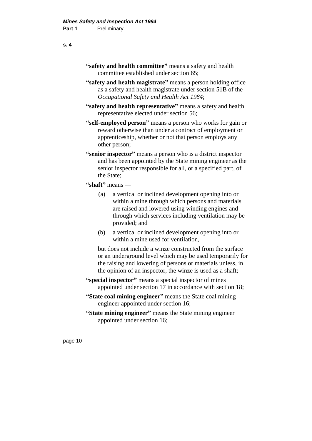- **"safety and health committee"** means a safety and health committee established under section 65;
- **"safety and health magistrate"** means a person holding office as a safety and health magistrate under section 51B of the *Occupational Safety and Health Act 1984*;
- **"safety and health representative"** means a safety and health representative elected under section 56;
- **"self-employed person"** means a person who works for gain or reward otherwise than under a contract of employment or apprenticeship, whether or not that person employs any other person;
- **"senior inspector"** means a person who is a district inspector and has been appointed by the State mining engineer as the senior inspector responsible for all, or a specified part, of the State;
- **"shaft"** means
	- (a) a vertical or inclined development opening into or within a mine through which persons and materials are raised and lowered using winding engines and through which services including ventilation may be provided; and
	- (b) a vertical or inclined development opening into or within a mine used for ventilation,

but does not include a winze constructed from the surface or an underground level which may be used temporarily for the raising and lowering of persons or materials unless, in the opinion of an inspector, the winze is used as a shaft;

- **"special inspector"** means a special inspector of mines appointed under section 17 in accordance with section 18;
- **"State coal mining engineer"** means the State coal mining engineer appointed under section 16;
- **"State mining engineer"** means the State mining engineer appointed under section 16;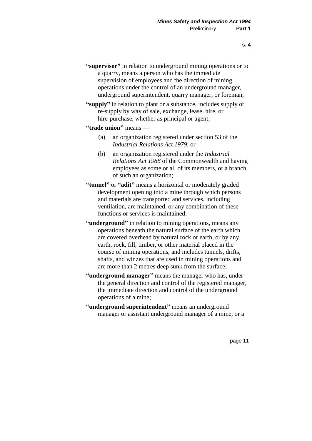- **"supervisor"** in relation to underground mining operations or to a quarry, means a person who has the immediate supervision of employees and the direction of mining operations under the control of an underground manager, underground superintendent, quarry manager, or foreman;
- **"supply"** in relation to plant or a substance, includes supply or re-supply by way of sale, exchange, lease, hire, or hire-purchase, whether as principal or agent;

#### **"trade union"** means —

- (a) an organization registered under section 53 of the *Industrial Relations Act 1979*; or
- (b) an organization registered under the *Industrial Relations Act 1988* of the Commonwealth and having employees as some or all of its members, or a branch of such an organization;
- **"tunnel"** or **"adit"** means a horizontal or moderately graded development opening into a mine through which persons and materials are transported and services, including ventilation, are maintained, or any combination of these functions or services is maintained;
- **"underground"** in relation to mining operations, means any operations beneath the natural surface of the earth which are covered overhead by natural rock or earth, or by any earth, rock, fill, timber, or other material placed in the course of mining operations, and includes tunnels, drifts, shafts, and winzes that are used in mining operations and are more than 2 metres deep sunk from the surface;
- **"underground manager"** means the manager who has, under the general direction and control of the registered manager, the immediate direction and control of the underground operations of a mine;
- **"underground superintendent"** means an underground manager or assistant underground manager of a mine, or a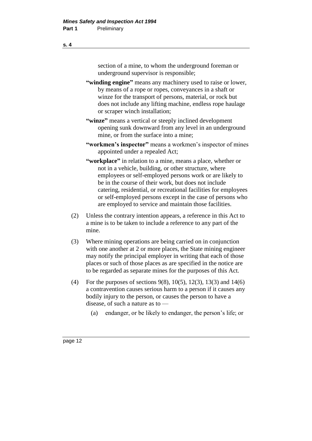section of a mine, to whom the underground foreman or underground supervisor is responsible;

- **"winding engine"** means any machinery used to raise or lower, by means of a rope or ropes, conveyances in a shaft or winze for the transport of persons, material, or rock but does not include any lifting machine, endless rope haulage or scraper winch installation;
- **"winze"** means a vertical or steeply inclined development opening sunk downward from any level in an underground mine, or from the surface into a mine;
- **"workmen's inspector"** means a workmen's inspector of mines appointed under a repealed Act;
- **"workplace"** in relation to a mine, means a place, whether or not in a vehicle, building, or other structure, where employees or self-employed persons work or are likely to be in the course of their work, but does not include catering, residential, or recreational facilities for employees or self-employed persons except in the case of persons who are employed to service and maintain those facilities.
- (2) Unless the contrary intention appears, a reference in this Act to a mine is to be taken to include a reference to any part of the mine.
- (3) Where mining operations are being carried on in conjunction with one another at 2 or more places, the State mining engineer may notify the principal employer in writing that each of those places or such of those places as are specified in the notice are to be regarded as separate mines for the purposes of this Act.
- (4) For the purposes of sections  $9(8)$ ,  $10(5)$ ,  $12(3)$ ,  $13(3)$  and  $14(6)$ a contravention causes serious harm to a person if it causes any bodily injury to the person, or causes the person to have a disease, of such a nature as to —
	- (a) endanger, or be likely to endanger, the person's life; or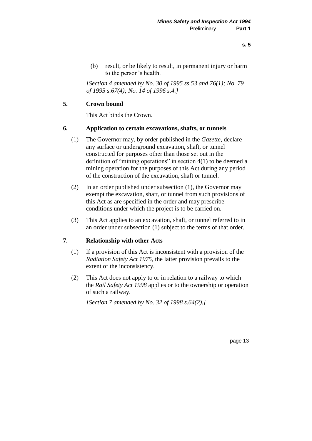- **s. 5**
- (b) result, or be likely to result, in permanent injury or harm to the person's health.

*[Section 4 amended by No. 30 of 1995 ss.53 and 76(1); No. 79 of 1995 s.67(4); No. 14 of 1996 s.4.]* 

### **5. Crown bound**

This Act binds the Crown.

#### **6. Application to certain excavations, shafts, or tunnels**

- (1) The Governor may, by order published in the *Gazette,* declare any surface or underground excavation, shaft, or tunnel constructed for purposes other than those set out in the definition of "mining operations" in section 4(1) to be deemed a mining operation for the purposes of this Act during any period of the construction of the excavation, shaft or tunnel.
- (2) In an order published under subsection (1), the Governor may exempt the excavation, shaft, or tunnel from such provisions of this Act as are specified in the order and may prescribe conditions under which the project is to be carried on.
- (3) This Act applies to an excavation, shaft, or tunnel referred to in an order under subsection (1) subject to the terms of that order.

#### **7. Relationship with other Acts**

- (1) If a provision of this Act is inconsistent with a provision of the *Radiation Safety Act 1975,* the latter provision prevails to the extent of the inconsistency.
- (2) This Act does not apply to or in relation to a railway to which the *Rail Safety Act 1998* applies or to the ownership or operation of such a railway.

*[Section 7 amended by No. 32 of 1998 s.64(2).]*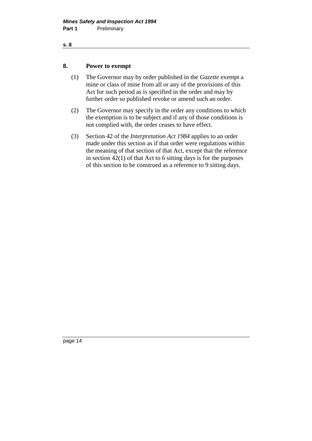#### **8. Power to exempt**

- (1) The Governor may by order published in the *Gazette* exempt a mine or class of mine from all or any of the provisions of this Act for such period as is specified in the order and may by further order so published revoke or amend such an order.
- (2) The Governor may specify in the order any conditions to which the exemption is to be subject and if any of those conditions is not complied with, the order ceases to have effect.
- (3) Section 42 of the *Interpretation Act 1984* applies to an order made under this section as if that order were regulations within the meaning of that section of that Act, except that the reference in section  $42(1)$  of that Act to 6 sitting days is for the purposes of this section to be construed as a reference to 9 sitting days.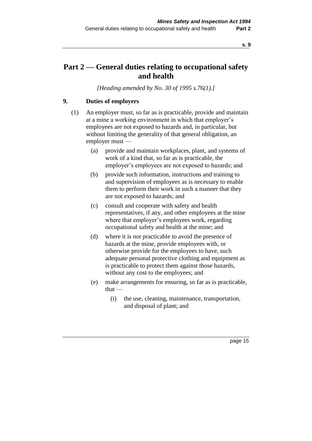# **Part 2 — General duties relating to occupational safety and health**

*[Heading amended by No. 30 of 1995 s.76(1).]* 

### **9. Duties of employers**

- (1) An employer must, so far as is practicable, provide and maintain at a mine a working environment in which that employer's employees are not exposed to hazards and, in particular, but without limiting the generality of that general obligation, an employer must —
	- (a) provide and maintain workplaces, plant, and systems of work of a kind that, so far as is practicable, the employer's employees are not exposed to hazards; and
	- (b) provide such information, instructions and training to and supervision of employees as is necessary to enable them to perform their work in such a manner that they are not exposed to hazards; and
	- (c) consult and cooperate with safety and health representatives, if any, and other employees at the mine where that employer's employees work, regarding occupational safety and health at the mine; and
	- (d) where it is not practicable to avoid the presence of hazards at the mine, provide employees with, or otherwise provide for the employees to have, such adequate personal protective clothing and equipment as is practicable to protect them against those hazards, without any cost to the employees; and
	- (e) make arrangements for ensuring, so far as is practicable, that —
		- (i) the use, cleaning, maintenance, transportation, and disposal of plant; and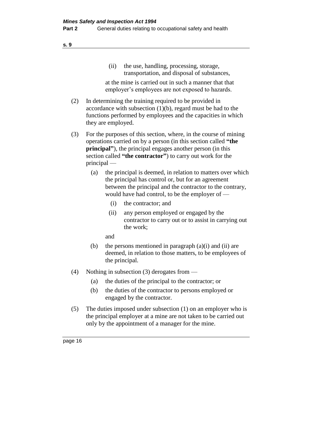(ii) the use, handling, processing, storage, transportation, and disposal of substances,

at the mine is carried out in such a manner that that employer's employees are not exposed to hazards.

- (2) In determining the training required to be provided in accordance with subsection (1)(b), regard must be had to the functions performed by employees and the capacities in which they are employed.
- (3) For the purposes of this section, where, in the course of mining operations carried on by a person (in this section called **"the principal"**), the principal engages another person (in this section called **"the contractor"**) to carry out work for the principal —
	- (a) the principal is deemed, in relation to matters over which the principal has control or, but for an agreement between the principal and the contractor to the contrary, would have had control, to be the employer of —
		- (i) the contractor; and
		- (ii) any person employed or engaged by the contractor to carry out or to assist in carrying out the work;
		- and
	- (b) the persons mentioned in paragraph  $(a)(i)$  and  $(ii)$  are deemed, in relation to those matters, to be employees of the principal.
- (4) Nothing in subsection (3) derogates from
	- (a) the duties of the principal to the contractor; or
	- (b) the duties of the contractor to persons employed or engaged by the contractor.
- (5) The duties imposed under subsection (1) on an employer who is the principal employer at a mine are not taken to be carried out only by the appointment of a manager for the mine.

page 16

**s. 9**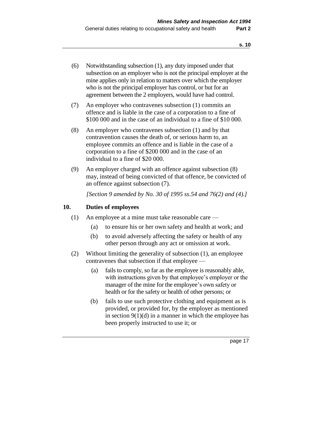- (6) Notwithstanding subsection (1), any duty imposed under that subsection on an employer who is not the principal employer at the mine applies only in relation to matters over which the employer who is not the principal employer has control, or but for an agreement between the 2 employers, would have had control.
- (7) An employer who contravenes subsection (1) commits an offence and is liable in the case of a corporation to a fine of \$100 000 and in the case of an individual to a fine of \$10 000.
- (8) An employer who contravenes subsection (1) and by that contravention causes the death of, or serious harm to, an employee commits an offence and is liable in the case of a corporation to a fine of \$200 000 and in the case of an individual to a fine of \$20 000.
- (9) An employer charged with an offence against subsection (8) may, instead of being convicted of that offence, be convicted of an offence against subsection (7).

*[Section 9 amended by No. 30 of 1995 ss.54 and 76(2) and (4).]* 

#### **10. Duties of employees**

- (1) An employee at a mine must take reasonable care
	- (a) to ensure his or her own safety and health at work; and
	- (b) to avoid adversely affecting the safety or health of any other person through any act or omission at work.
- (2) Without limiting the generality of subsection (1), an employee contravenes that subsection if that employee —
	- (a) fails to comply, so far as the employee is reasonably able, with instructions given by that employee's employer or the manager of the mine for the employee's own safety or health or for the safety or health of other persons; or
	- (b) fails to use such protective clothing and equipment as is provided, or provided for, by the employer as mentioned in section  $9(1)(d)$  in a manner in which the employee has been properly instructed to use it; or

page 17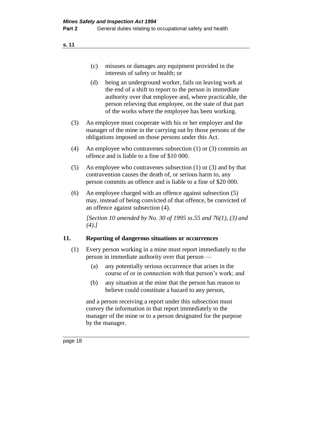- (c) misuses or damages any equipment provided in the interests of safety or health; or
- (d) being an underground worker, fails on leaving work at the end of a shift to report to the person in immediate authority over that employee and, where practicable, the person relieving that employee, on the state of that part of the works where the employee has been working.
- (3) An employee must cooperate with his or her employer and the manager of the mine in the carrying out by those persons of the obligations imposed on those persons under this Act.
- (4) An employee who contravenes subsection (1) or (3) commits an offence and is liable to a fine of \$10 000.
- (5) An employee who contravenes subsection (1) or (3) and by that contravention causes the death of, or serious harm to, any person commits an offence and is liable to a fine of \$20 000.
- (6) An employee charged with an offence against subsection (5) may, instead of being convicted of that offence, be convicted of an offence against subsection (4).

*[Section 10 amended by No. 30 of 1995 ss.55 and 76(1), (3) and (4).]* 

#### **11. Reporting of dangerous situations or occurrences**

- (1) Every person working in a mine must report immediately to the person in immediate authority over that person —
	- (a) any potentially serious occurrence that arises in the course of or in connection with that person's work; and
	- (b) any situation at the mine that the person has reason to believe could constitute a hazard to any person,

and a person receiving a report under this subsection must convey the information in that report immediately to the manager of the mine or to a person designated for the purpose by the manager.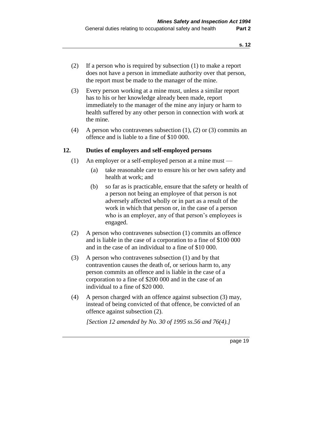- (2) If a person who is required by subsection (1) to make a report does not have a person in immediate authority over that person, the report must be made to the manager of the mine.
- (3) Every person working at a mine must, unless a similar report has to his or her knowledge already been made, report immediately to the manager of the mine any injury or harm to health suffered by any other person in connection with work at the mine.
- (4) A person who contravenes subsection (1), (2) or (3) commits an offence and is liable to a fine of \$10 000.

#### **12. Duties of employers and self-employed persons**

- (1) An employer or a self-employed person at a mine must
	- (a) take reasonable care to ensure his or her own safety and health at work; and
	- (b) so far as is practicable, ensure that the safety or health of a person not being an employee of that person is not adversely affected wholly or in part as a result of the work in which that person or, in the case of a person who is an employer, any of that person's employees is engaged.
- (2) A person who contravenes subsection (1) commits an offence and is liable in the case of a corporation to a fine of \$100 000 and in the case of an individual to a fine of \$10 000.
- (3) A person who contravenes subsection (1) and by that contravention causes the death of, or serious harm to, any person commits an offence and is liable in the case of a corporation to a fine of \$200 000 and in the case of an individual to a fine of \$20 000.
- (4) A person charged with an offence against subsection (3) may, instead of being convicted of that offence, be convicted of an offence against subsection (2).

*[Section 12 amended by No. 30 of 1995 ss.56 and 76(4).]*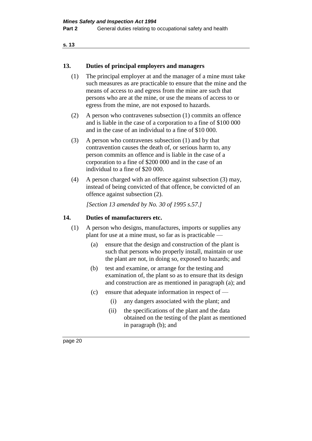#### **13. Duties of principal employers and managers**

- (1) The principal employer at and the manager of a mine must take such measures as are practicable to ensure that the mine and the means of access to and egress from the mine are such that persons who are at the mine, or use the means of access to or egress from the mine, are not exposed to hazards.
- (2) A person who contravenes subsection (1) commits an offence and is liable in the case of a corporation to a fine of \$100 000 and in the case of an individual to a fine of \$10 000.
- (3) A person who contravenes subsection (1) and by that contravention causes the death of, or serious harm to, any person commits an offence and is liable in the case of a corporation to a fine of \$200 000 and in the case of an individual to a fine of \$20 000.
- (4) A person charged with an offence against subsection (3) may, instead of being convicted of that offence, be convicted of an offence against subsection (2).

*[Section 13 amended by No. 30 of 1995 s.57.]* 

#### **14. Duties of manufacturers etc.**

- (1) A person who designs, manufactures, imports or supplies any plant for use at a mine must, so far as is practicable —
	- (a) ensure that the design and construction of the plant is such that persons who properly install, maintain or use the plant are not, in doing so, exposed to hazards; and
	- (b) test and examine, or arrange for the testing and examination of, the plant so as to ensure that its design and construction are as mentioned in paragraph (a); and
	- (c) ensure that adequate information in respect of
		- (i) any dangers associated with the plant; and
		- (ii) the specifications of the plant and the data obtained on the testing of the plant as mentioned in paragraph (b); and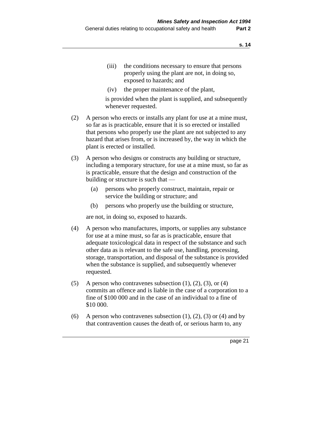- (iii) the conditions necessary to ensure that persons properly using the plant are not, in doing so, exposed to hazards; and
- (iv) the proper maintenance of the plant,

is provided when the plant is supplied, and subsequently whenever requested.

- (2) A person who erects or installs any plant for use at a mine must, so far as is practicable, ensure that it is so erected or installed that persons who properly use the plant are not subjected to any hazard that arises from, or is increased by, the way in which the plant is erected or installed.
- (3) A person who designs or constructs any building or structure, including a temporary structure, for use at a mine must, so far as is practicable, ensure that the design and construction of the building or structure is such that —
	- (a) persons who properly construct, maintain, repair or service the building or structure; and
	- (b) persons who properly use the building or structure,

are not, in doing so, exposed to hazards.

- (4) A person who manufactures, imports, or supplies any substance for use at a mine must, so far as is practicable, ensure that adequate toxicological data in respect of the substance and such other data as is relevant to the safe use, handling, processing, storage, transportation, and disposal of the substance is provided when the substance is supplied, and subsequently whenever requested.
- (5) A person who contravenes subsection  $(1)$ ,  $(2)$ ,  $(3)$ , or  $(4)$ commits an offence and is liable in the case of a corporation to a fine of \$100 000 and in the case of an individual to a fine of \$10 000.
- (6) A person who contravenes subsection  $(1)$ ,  $(2)$ ,  $(3)$  or  $(4)$  and by that contravention causes the death of, or serious harm to, any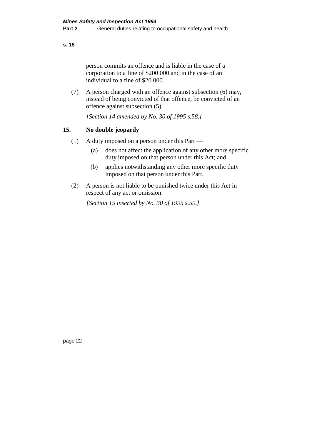person commits an offence and is liable in the case of a corporation to a fine of \$200 000 and in the case of an individual to a fine of \$20 000.

(7) A person charged with an offence against subsection (6) may, instead of being convicted of that offence, be convicted of an offence against subsection (5).

*[Section 14 amended by No. 30 of 1995 s.58.]* 

### **15. No double jeopardy**

- (1) A duty imposed on a person under this Part
	- (a) does not affect the application of any other more specific duty imposed on that person under this Act; and
	- (b) applies notwithstanding any other more specific duty imposed on that person under this Part.
- (2) A person is not liable to be punished twice under this Act in respect of any act or omission.

*[Section 15 inserted by No. 30 of 1995 s.59.]*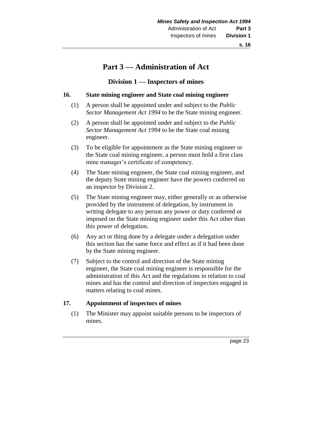# **Part 3 — Administration of Act**

### **Division 1 — Inspectors of mines**

#### **16. State mining engineer and State coal mining engineer**

- (1) A person shall be appointed under and subject to the *Public Sector Management Act 1994* to be the State mining engineer.
- (2) A person shall be appointed under and subject to the *Public Sector Management Act 1994* to be the State coal mining engineer.
- (3) To be eligible for appointment as the State mining engineer or the State coal mining engineer, a person must hold a first class mine manager's certificate of competency.
- (4) The State mining engineer, the State coal mining engineer, and the deputy State mining engineer have the powers conferred on an inspector by Division 2.
- (5) The State mining engineer may, either generally or as otherwise provided by the instrument of delegation, by instrument in writing delegate to any person any power or duty conferred or imposed on the State mining engineer under this Act other than this power of delegation.
- (6) Any act or thing done by a delegate under a delegation under this section has the same force and effect as if it had been done by the State mining engineer.
- (7) Subject to the control and direction of the State mining engineer, the State coal mining engineer is responsible for the administration of this Act and the regulations in relation to coal mines and has the control and direction of inspectors engaged in matters relating to coal mines.

#### **17. Appointment of inspectors of mines**

(1) The Minister may appoint suitable persons to be inspectors of mines.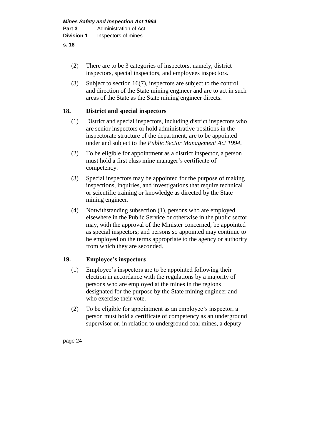- (2) There are to be 3 categories of inspectors, namely, district inspectors, special inspectors, and employees inspectors.
- (3) Subject to section 16(7), inspectors are subject to the control and direction of the State mining engineer and are to act in such areas of the State as the State mining engineer directs.

#### **18. District and special inspectors**

- (1) District and special inspectors, including district inspectors who are senior inspectors or hold administrative positions in the inspectorate structure of the department, are to be appointed under and subject to the *Public Sector Management Act 1994*.
- (2) To be eligible for appointment as a district inspector, a person must hold a first class mine manager's certificate of competency.
- (3) Special inspectors may be appointed for the purpose of making inspections, inquiries, and investigations that require technical or scientific training or knowledge as directed by the State mining engineer.
- (4) Notwithstanding subsection (1), persons who are employed elsewhere in the Public Service or otherwise in the public sector may, with the approval of the Minister concerned, be appointed as special inspectors; and persons so appointed may continue to be employed on the terms appropriate to the agency or authority from which they are seconded.

#### **19. Employee's inspectors**

- (1) Employee's inspectors are to be appointed following their election in accordance with the regulations by a majority of persons who are employed at the mines in the regions designated for the purpose by the State mining engineer and who exercise their vote.
- (2) To be eligible for appointment as an employee's inspector, a person must hold a certificate of competency as an underground supervisor or, in relation to underground coal mines, a deputy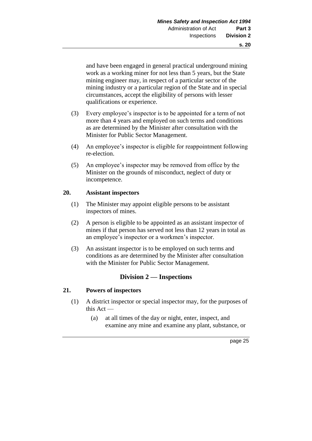and have been engaged in general practical underground mining work as a working miner for not less than 5 years, but the State mining engineer may, in respect of a particular sector of the mining industry or a particular region of the State and in special circumstances, accept the eligibility of persons with lesser qualifications or experience.

- (3) Every employee's inspector is to be appointed for a term of not more than 4 years and employed on such terms and conditions as are determined by the Minister after consultation with the Minister for Public Sector Management.
- (4) An employee's inspector is eligible for reappointment following re-election.
- (5) An employee's inspector may be removed from office by the Minister on the grounds of misconduct, neglect of duty or incompetence.

#### **20. Assistant inspectors**

- (1) The Minister may appoint eligible persons to be assistant inspectors of mines.
- (2) A person is eligible to be appointed as an assistant inspector of mines if that person has served not less than 12 years in total as an employee's inspector or a workmen's inspector.
- (3) An assistant inspector is to be employed on such terms and conditions as are determined by the Minister after consultation with the Minister for Public Sector Management.

### **Division 2 — Inspections**

#### **21. Powers of inspectors**

- (1) A district inspector or special inspector may, for the purposes of this Act —
	- (a) at all times of the day or night, enter, inspect, and examine any mine and examine any plant, substance, or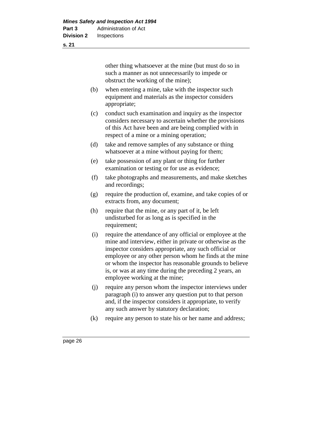other thing whatsoever at the mine (but must do so in such a manner as not unnecessarily to impede or obstruct the working of the mine);

- (b) when entering a mine, take with the inspector such equipment and materials as the inspector considers appropriate;
- (c) conduct such examination and inquiry as the inspector considers necessary to ascertain whether the provisions of this Act have been and are being complied with in respect of a mine or a mining operation:
- (d) take and remove samples of any substance or thing whatsoever at a mine without paying for them;
- (e) take possession of any plant or thing for further examination or testing or for use as evidence;
- (f) take photographs and measurements, and make sketches and recordings;
- (g) require the production of, examine, and take copies of or extracts from, any document;
- (h) require that the mine, or any part of it, be left undisturbed for as long as is specified in the requirement;
- (i) require the attendance of any official or employee at the mine and interview, either in private or otherwise as the inspector considers appropriate, any such official or employee or any other person whom he finds at the mine or whom the inspector has reasonable grounds to believe is, or was at any time during the preceding 2 years, an employee working at the mine;
- (j) require any person whom the inspector interviews under paragraph (i) to answer any question put to that person and, if the inspector considers it appropriate, to verify any such answer by statutory declaration;
- (k) require any person to state his or her name and address;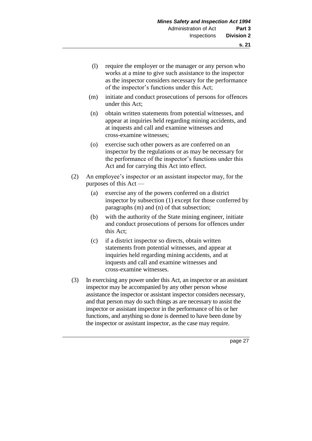- (l) require the employer or the manager or any person who works at a mine to give such assistance to the inspector as the inspector considers necessary for the performance of the inspector's functions under this Act;
- (m) initiate and conduct prosecutions of persons for offences under this Act;
- (n) obtain written statements from potential witnesses, and appear at inquiries held regarding mining accidents, and at inquests and call and examine witnesses and cross-examine witnesses;
- (o) exercise such other powers as are conferred on an inspector by the regulations or as may be necessary for the performance of the inspector's functions under this Act and for carrying this Act into effect.
- (2) An employee's inspector or an assistant inspector may, for the purposes of this Act —
	- (a) exercise any of the powers conferred on a district inspector by subsection (1) except for those conferred by paragraphs (m) and (n) of that subsection;
	- (b) with the authority of the State mining engineer, initiate and conduct prosecutions of persons for offences under this Act;
	- (c) if a district inspector so directs, obtain written statements from potential witnesses, and appear at inquiries held regarding mining accidents, and at inquests and call and examine witnesses and cross-examine witnesses.
- (3) In exercising any power under this Act, an inspector or an assistant inspector may be accompanied by any other person whose assistance the inspector or assistant inspector considers necessary, and that person may do such things as are necessary to assist the inspector or assistant inspector in the performance of his or her functions, and anything so done is deemed to have been done by the inspector or assistant inspector, as the case may require.

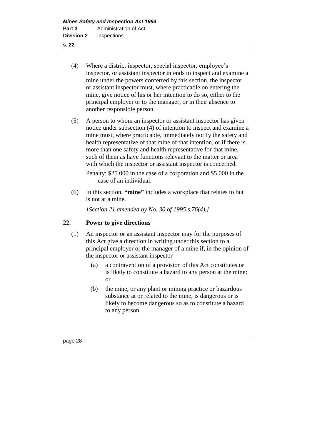- (4) Where a district inspector, special inspector, employee's inspector, or assistant inspector intends to inspect and examine a mine under the powers conferred by this section, the inspector or assistant inspector must, where practicable on entering the mine, give notice of his or her intention to do so, either to the principal employer or to the manager, or in their absence to another responsible person.
- (5) A person to whom an inspector or assistant inspector has given notice under subsection (4) of intention to inspect and examine a mine must, where practicable, immediately notify the safety and health representative of that mine of that intention, or if there is more than one safety and health representative for that mine, such of them as have functions relevant to the matter or area with which the inspector or assistant inspector is concerned.

Penalty: \$25 000 in the case of a corporation and \$5 000 in the case of an individual.

(6) In this section, **"mine"** includes a workplace that relates to but is not at a mine.

*[Section 21 amended by No. 30 of 1995 s.76(4).]* 

#### **22. Power to give directions**

- (1) An inspector or an assistant inspector may for the purposes of this Act give a direction in writing under this section to a principal employer or the manager of a mine if, in the opinion of the inspector or assistant inspector —
	- (a) a contravention of a provision of this Act constitutes or is likely to constitute a hazard to any person at the mine; or
	- (b) the mine, or any plant or mining practice or hazardous substance at or related to the mine, is dangerous or is likely to become dangerous so as to constitute a hazard to any person.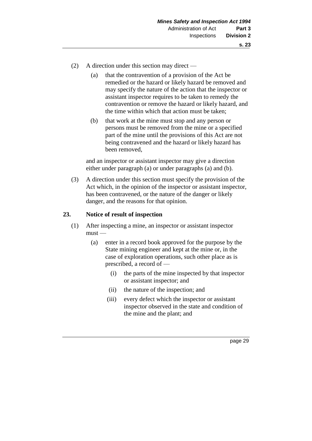- (2) A direction under this section may direct
	- (a) that the contravention of a provision of the Act be remedied or the hazard or likely hazard be removed and may specify the nature of the action that the inspector or assistant inspector requires to be taken to remedy the contravention or remove the hazard or likely hazard, and the time within which that action must be taken;
	- (b) that work at the mine must stop and any person or persons must be removed from the mine or a specified part of the mine until the provisions of this Act are not being contravened and the hazard or likely hazard has been removed,

and an inspector or assistant inspector may give a direction either under paragraph (a) or under paragraphs (a) and (b).

(3) A direction under this section must specify the provision of the Act which, in the opinion of the inspector or assistant inspector, has been contravened, or the nature of the danger or likely danger, and the reasons for that opinion.

# **23. Notice of result of inspection**

- (1) After inspecting a mine, an inspector or assistant inspector  $must -$ 
	- (a) enter in a record book approved for the purpose by the State mining engineer and kept at the mine or, in the case of exploration operations, such other place as is prescribed, a record of —
		- (i) the parts of the mine inspected by that inspector or assistant inspector; and
		- (ii) the nature of the inspection; and
		- (iii) every defect which the inspector or assistant inspector observed in the state and condition of the mine and the plant; and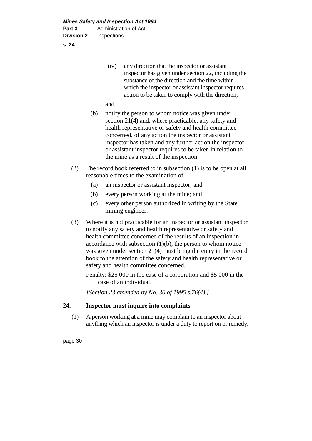| (iv) | any direction that the inspector or assistant       |
|------|-----------------------------------------------------|
|      | inspector has given under section 22, including the |
|      | substance of the direction and the time within      |
|      | which the inspector or assistant inspector requires |
|      | action to be taken to comply with the direction;    |
|      |                                                     |

and

- (b) notify the person to whom notice was given under section 21(4) and, where practicable, any safety and health representative or safety and health committee concerned, of any action the inspector or assistant inspector has taken and any further action the inspector or assistant inspector requires to be taken in relation to the mine as a result of the inspection.
- (2) The record book referred to in subsection (1) is to be open at all reasonable times to the examination of —
	- (a) an inspector or assistant inspector; and
	- (b) every person working at the mine; and
	- (c) every other person authorized in writing by the State mining engineer.
- (3) Where it is not practicable for an inspector or assistant inspector to notify any safety and health representative or safety and health committee concerned of the results of an inspection in accordance with subsection  $(1)(b)$ , the person to whom notice was given under section 21(4) must bring the entry in the record book to the attention of the safety and health representative or safety and health committee concerned.

Penalty: \$25 000 in the case of a corporation and \$5 000 in the case of an individual.

*[Section 23 amended by No. 30 of 1995 s.76(4).]* 

# **24. Inspector must inquire into complaints**

(1) A person working at a mine may complain to an inspector about anything which an inspector is under a duty to report on or remedy.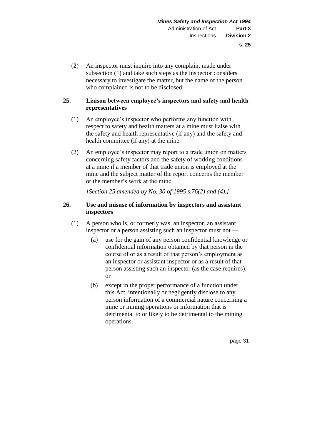(2) An inspector must inquire into any complaint made under subsection (1) and take such steps as the inspector considers necessary to investigate the matter, but the name of the person who complained is not to be disclosed.

# **25. Liaison between employee's inspectors and safety and health representatives**

- (1) An employee's inspector who performs any function with respect to safety and health matters at a mine must liaise with the safety and health representative (if any) and the safety and health committee (if any) at the mine.
- (2) An employee's inspector may report to a trade union on matters concerning safety factors and the safety of working conditions at a mine if a member of that trade union is employed at the mine and the subject matter of the report concerns the member or the member's work at the mine.

*[Section 25 amended by No. 30 of 1995 s.76(2) and (4).]* 

# **26. Use and misuse of information by inspectors and assistant inspectors**

- (1) A person who is, or formerly was, an inspector, an assistant inspector or a person assisting such an inspector must not —
	- (a) use for the gain of any person confidential knowledge or confidential information obtained by that person in the course of or as a result of that person's employment as an inspector or assistant inspector or as a result of that person assisting such an inspector (as the case requires); or
	- (b) except in the proper performance of a function under this Act, intentionally or negligently disclose to any person information of a commercial nature concerning a mine or mining operations or information that is detrimental to or likely to be detrimental to the mining operations.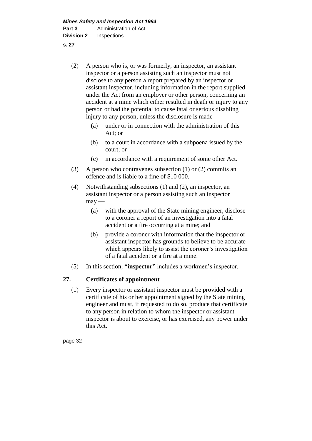- (2) A person who is, or was formerly, an inspector, an assistant inspector or a person assisting such an inspector must not disclose to any person a report prepared by an inspector or assistant inspector, including information in the report supplied under the Act from an employer or other person, concerning an accident at a mine which either resulted in death or injury to any person or had the potential to cause fatal or serious disabling injury to any person, unless the disclosure is made —
	- (a) under or in connection with the administration of this Act; or
	- (b) to a court in accordance with a subpoena issued by the court; or
	- (c) in accordance with a requirement of some other Act.
- (3) A person who contravenes subsection (1) or (2) commits an offence and is liable to a fine of \$10 000.
- (4) Notwithstanding subsections (1) and (2), an inspector, an assistant inspector or a person assisting such an inspector  $may -$ 
	- (a) with the approval of the State mining engineer, disclose to a coroner a report of an investigation into a fatal accident or a fire occurring at a mine; and
	- (b) provide a coroner with information that the inspector or assistant inspector has grounds to believe to be accurate which appears likely to assist the coroner's investigation of a fatal accident or a fire at a mine.
- (5) In this section, **"inspector"** includes a workmen's inspector.

# **27. Certificates of appointment**

(1) Every inspector or assistant inspector must be provided with a certificate of his or her appointment signed by the State mining engineer and must, if requested to do so, produce that certificate to any person in relation to whom the inspector or assistant inspector is about to exercise, or has exercised, any power under this Act.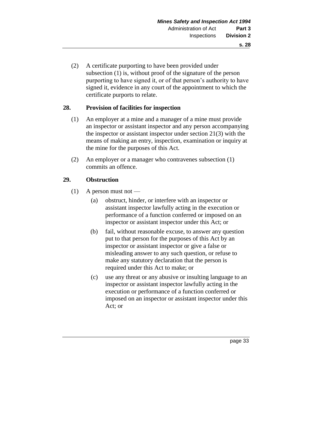(2) A certificate purporting to have been provided under subsection (1) is, without proof of the signature of the person purporting to have signed it, or of that person's authority to have signed it, evidence in any court of the appointment to which the certificate purports to relate.

# **28. Provision of facilities for inspection**

- (1) An employer at a mine and a manager of a mine must provide an inspector or assistant inspector and any person accompanying the inspector or assistant inspector under section 21(3) with the means of making an entry, inspection, examination or inquiry at the mine for the purposes of this Act.
- (2) An employer or a manager who contravenes subsection (1) commits an offence.

# **29. Obstruction**

- $(1)$  A person must not
	- (a) obstruct, hinder, or interfere with an inspector or assistant inspector lawfully acting in the execution or performance of a function conferred or imposed on an inspector or assistant inspector under this Act; or
	- (b) fail, without reasonable excuse, to answer any question put to that person for the purposes of this Act by an inspector or assistant inspector or give a false or misleading answer to any such question, or refuse to make any statutory declaration that the person is required under this Act to make; or
	- (c) use any threat or any abusive or insulting language to an inspector or assistant inspector lawfully acting in the execution or performance of a function conferred or imposed on an inspector or assistant inspector under this Act; or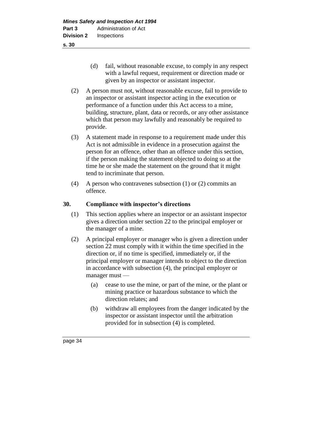- (d) fail, without reasonable excuse, to comply in any respect with a lawful request, requirement or direction made or given by an inspector or assistant inspector.
- (2) A person must not, without reasonable excuse, fail to provide to an inspector or assistant inspector acting in the execution or performance of a function under this Act access to a mine, building, structure, plant, data or records, or any other assistance which that person may lawfully and reasonably be required to provide.
- (3) A statement made in response to a requirement made under this Act is not admissible in evidence in a prosecution against the person for an offence, other than an offence under this section, if the person making the statement objected to doing so at the time he or she made the statement on the ground that it might tend to incriminate that person.
- (4) A person who contravenes subsection (1) or (2) commits an offence.

# **30. Compliance with inspector's directions**

- (1) This section applies where an inspector or an assistant inspector gives a direction under section 22 to the principal employer or the manager of a mine.
- (2) A principal employer or manager who is given a direction under section 22 must comply with it within the time specified in the direction or, if no time is specified, immediately or, if the principal employer or manager intends to object to the direction in accordance with subsection (4), the principal employer or manager must —
	- (a) cease to use the mine, or part of the mine, or the plant or mining practice or hazardous substance to which the direction relates; and
	- (b) withdraw all employees from the danger indicated by the inspector or assistant inspector until the arbitration provided for in subsection (4) is completed.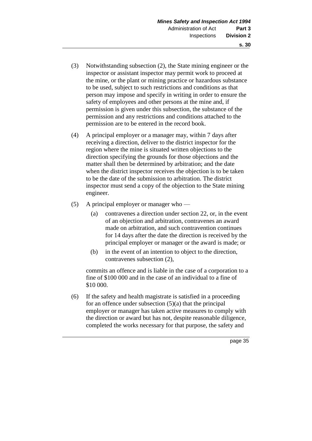- (3) Notwithstanding subsection (2), the State mining engineer or the inspector or assistant inspector may permit work to proceed at the mine, or the plant or mining practice or hazardous substance to be used, subject to such restrictions and conditions as that person may impose and specify in writing in order to ensure the safety of employees and other persons at the mine and, if permission is given under this subsection, the substance of the permission and any restrictions and conditions attached to the permission are to be entered in the record book.
- (4) A principal employer or a manager may, within 7 days after receiving a direction, deliver to the district inspector for the region where the mine is situated written objections to the direction specifying the grounds for those objections and the matter shall then be determined by arbitration; and the date when the district inspector receives the objection is to be taken to be the date of the submission to arbitration. The district inspector must send a copy of the objection to the State mining engineer.
- (5) A principal employer or manager who
	- (a) contravenes a direction under section 22, or, in the event of an objection and arbitration, contravenes an award made on arbitration, and such contravention continues for 14 days after the date the direction is received by the principal employer or manager or the award is made; or
	- (b) in the event of an intention to object to the direction, contravenes subsection (2),

commits an offence and is liable in the case of a corporation to a fine of \$100 000 and in the case of an individual to a fine of \$10 000.

(6) If the safety and health magistrate is satisfied in a proceeding for an offence under subsection  $(5)(a)$  that the principal employer or manager has taken active measures to comply with the direction or award but has not, despite reasonable diligence, completed the works necessary for that purpose, the safety and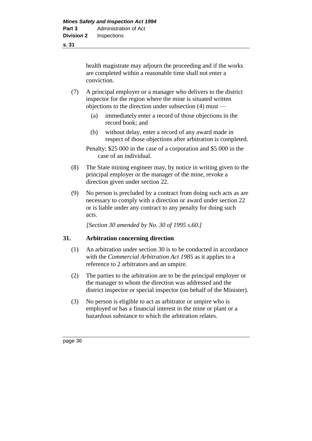health magistrate may adjourn the proceeding and if the works are completed within a reasonable time shall not enter a conviction.

- (7) A principal employer or a manager who delivers to the district inspector for the region where the mine is situated written objections to the direction under subsection (4) must —
	- (a) immediately enter a record of those objections in the record book; and
	- (b) without delay, enter a record of any award made in respect of those objections after arbitration is completed.

Penalty: \$25 000 in the case of a corporation and \$5 000 in the case of an individual.

- (8) The State mining engineer may, by notice in writing given to the principal employer or the manager of the mine, revoke a direction given under section 22.
- (9) No person is precluded by a contract from doing such acts as are necessary to comply with a direction or award under section 22 or is liable under any contract to any penalty for doing such acts.

*[Section 30 amended by No. 30 of 1995 s.60.]* 

# **31. Arbitration concerning direction**

- (1) An arbitration under section 30 is to be conducted in accordance with the *Commercial Arbitration Act 1985* as it applies to a reference to 2 arbitrators and an umpire.
- (2) The parties to the arbitration are to be the principal employer or the manager to whom the direction was addressed and the district inspector or special inspector (on behalf of the Minister).
- (3) No person is eligible to act as arbitrator or umpire who is employed or has a financial interest in the mine or plant or a hazardous substance to which the arbitration relates.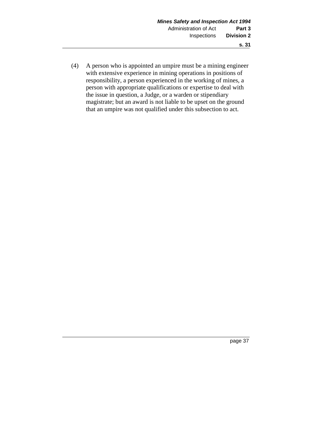(4) A person who is appointed an umpire must be a mining engineer with extensive experience in mining operations in positions of responsibility, a person experienced in the working of mines, a person with appropriate qualifications or expertise to deal with the issue in question, a Judge, or a warden or stipendiary magistrate; but an award is not liable to be upset on the ground that an umpire was not qualified under this subsection to act.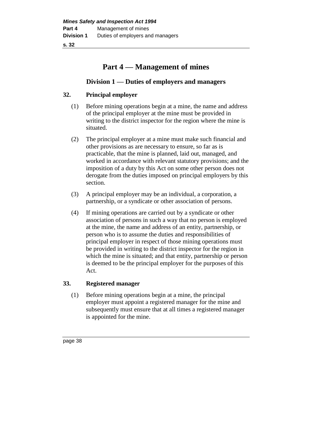# **Part 4 — Management of mines**

# **Division 1 — Duties of employers and managers**

# **32. Principal employer**

- (1) Before mining operations begin at a mine, the name and address of the principal employer at the mine must be provided in writing to the district inspector for the region where the mine is situated.
- (2) The principal employer at a mine must make such financial and other provisions as are necessary to ensure, so far as is practicable, that the mine is planned, laid out, managed, and worked in accordance with relevant statutory provisions; and the imposition of a duty by this Act on some other person does not derogate from the duties imposed on principal employers by this section.
- (3) A principal employer may be an individual, a corporation, a partnership, or a syndicate or other association of persons.
- (4) If mining operations are carried out by a syndicate or other association of persons in such a way that no person is employed at the mine, the name and address of an entity, partnership, or person who is to assume the duties and responsibilities of principal employer in respect of those mining operations must be provided in writing to the district inspector for the region in which the mine is situated; and that entity, partnership or person is deemed to be the principal employer for the purposes of this Act.

# **33. Registered manager**

(1) Before mining operations begin at a mine, the principal employer must appoint a registered manager for the mine and subsequently must ensure that at all times a registered manager is appointed for the mine.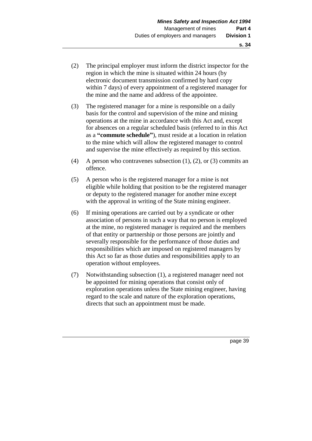- (2) The principal employer must inform the district inspector for the region in which the mine is situated within 24 hours (by electronic document transmission confirmed by hard copy within 7 days) of every appointment of a registered manager for the mine and the name and address of the appointee.
- (3) The registered manager for a mine is responsible on a daily basis for the control and supervision of the mine and mining operations at the mine in accordance with this Act and, except for absences on a regular scheduled basis (referred to in this Act as a **"commute schedule"**), must reside at a location in relation to the mine which will allow the registered manager to control and supervise the mine effectively as required by this section.
- (4) A person who contravenes subsection (1), (2), or (3) commits an offence.
- (5) A person who is the registered manager for a mine is not eligible while holding that position to be the registered manager or deputy to the registered manager for another mine except with the approval in writing of the State mining engineer.
- (6) If mining operations are carried out by a syndicate or other association of persons in such a way that no person is employed at the mine, no registered manager is required and the members of that entity or partnership or those persons are jointly and severally responsible for the performance of those duties and responsibilities which are imposed on registered managers by this Act so far as those duties and responsibilities apply to an operation without employees.
- (7) Notwithstanding subsection (1), a registered manager need not be appointed for mining operations that consist only of exploration operations unless the State mining engineer, having regard to the scale and nature of the exploration operations, directs that such an appointment must be made.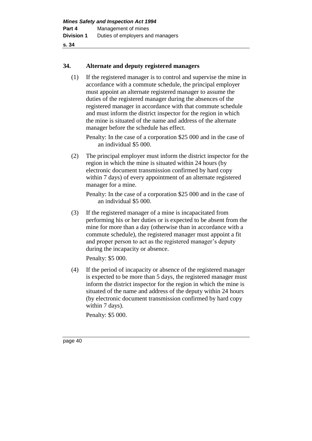## **34. Alternate and deputy registered managers**

(1) If the registered manager is to control and supervise the mine in accordance with a commute schedule, the principal employer must appoint an alternate registered manager to assume the duties of the registered manager during the absences of the registered manager in accordance with that commute schedule and must inform the district inspector for the region in which the mine is situated of the name and address of the alternate manager before the schedule has effect.

Penalty: In the case of a corporation \$25 000 and in the case of an individual \$5 000.

(2) The principal employer must inform the district inspector for the region in which the mine is situated within 24 hours (by electronic document transmission confirmed by hard copy within 7 days) of every appointment of an alternate registered manager for a mine.

Penalty: In the case of a corporation \$25 000 and in the case of an individual \$5 000.

(3) If the registered manager of a mine is incapacitated from performing his or her duties or is expected to be absent from the mine for more than a day (otherwise than in accordance with a commute schedule), the registered manager must appoint a fit and proper person to act as the registered manager's deputy during the incapacity or absence.

Penalty: \$5 000.

(4) If the period of incapacity or absence of the registered manager is expected to be more than 5 days, the registered manager must inform the district inspector for the region in which the mine is situated of the name and address of the deputy within 24 hours (by electronic document transmission confirmed by hard copy within 7 days).

Penalty: \$5 000.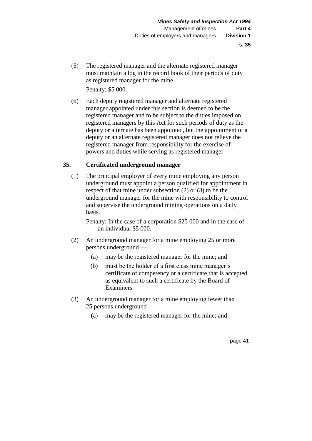(5) The registered manager and the alternate registered manager must maintain a log in the record book of their periods of duty as registered manager for the mine. Penalty: \$5 000.

(6) Each deputy registered manager and alternate registered manager appointed under this section is deemed to be the registered manager and to be subject to the duties imposed on registered managers by this Act for such periods of duty as the deputy or alternate has been appointed, but the appointment of a deputy or an alternate registered manager does not relieve the registered manager from responsibility for the exercise of powers and duties while serving as registered manager.

# **35. Certificated underground manager**

(1) The principal employer of every mine employing any person underground must appoint a person qualified for appointment in respect of that mine under subsection (2) or (3) to be the underground manager for the mine with responsibility to control and supervise the underground mining operations on a daily basis.

Penalty: In the case of a corporation \$25 000 and in the case of an individual \$5 000.

- (2) An underground manager for a mine employing 25 or more persons underground —
	- (a) may be the registered manager for the mine; and
	- (b) must be the holder of a first class mine manager's certificate of competency or a certificate that is accepted as equivalent to such a certificate by the Board of Examiners.
- (3) An underground manager for a mine employing fewer than 25 persons underground —
	- (a) may be the registered manager for the mine; and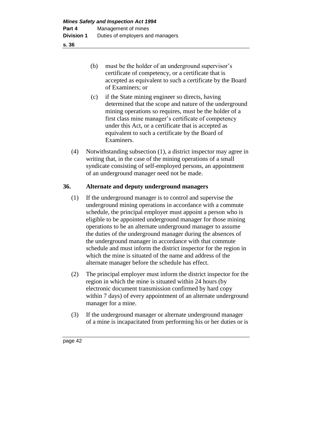- **s. 36**
- (b) must be the holder of an underground supervisor's certificate of competency, or a certificate that is accepted as equivalent to such a certificate by the Board of Examiners; or
- (c) if the State mining engineer so directs, having determined that the scope and nature of the underground mining operations so requires, must be the holder of a first class mine manager's certificate of competency under this Act, or a certificate that is accepted as equivalent to such a certificate by the Board of Examiners.
- (4) Notwithstanding subsection (1), a district inspector may agree in writing that, in the case of the mining operations of a small syndicate consisting of self-employed persons, an appointment of an underground manager need not be made.

# **36. Alternate and deputy underground managers**

- (1) If the underground manager is to control and supervise the underground mining operations in accordance with a commute schedule, the principal employer must appoint a person who is eligible to be appointed underground manager for those mining operations to be an alternate underground manager to assume the duties of the underground manager during the absences of the underground manager in accordance with that commute schedule and must inform the district inspector for the region in which the mine is situated of the name and address of the alternate manager before the schedule has effect.
- (2) The principal employer must inform the district inspector for the region in which the mine is situated within 24 hours (by electronic document transmission confirmed by hard copy within 7 days) of every appointment of an alternate underground manager for a mine.
- (3) If the underground manager or alternate underground manager of a mine is incapacitated from performing his or her duties or is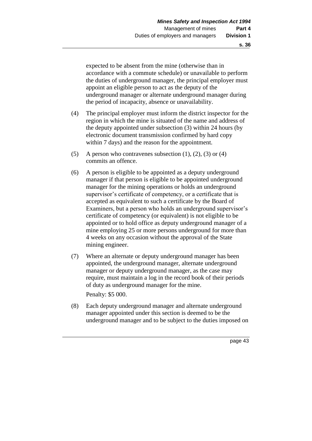expected to be absent from the mine (otherwise than in accordance with a commute schedule) or unavailable to perform the duties of underground manager, the principal employer must appoint an eligible person to act as the deputy of the underground manager or alternate underground manager during the period of incapacity, absence or unavailability.

- (4) The principal employer must inform the district inspector for the region in which the mine is situated of the name and address of the deputy appointed under subsection (3) within 24 hours (by electronic document transmission confirmed by hard copy within 7 days) and the reason for the appointment.
- (5) A person who contravenes subsection  $(1)$ ,  $(2)$ ,  $(3)$  or  $(4)$ commits an offence.
- (6) A person is eligible to be appointed as a deputy underground manager if that person is eligible to be appointed underground manager for the mining operations or holds an underground supervisor's certificate of competency, or a certificate that is accepted as equivalent to such a certificate by the Board of Examiners, but a person who holds an underground supervisor's certificate of competency (or equivalent) is not eligible to be appointed or to hold office as deputy underground manager of a mine employing 25 or more persons underground for more than 4 weeks on any occasion without the approval of the State mining engineer.
- (7) Where an alternate or deputy underground manager has been appointed, the underground manager, alternate underground manager or deputy underground manager, as the case may require, must maintain a log in the record book of their periods of duty as underground manager for the mine. Penalty: \$5 000.
- (8) Each deputy underground manager and alternate underground manager appointed under this section is deemed to be the underground manager and to be subject to the duties imposed on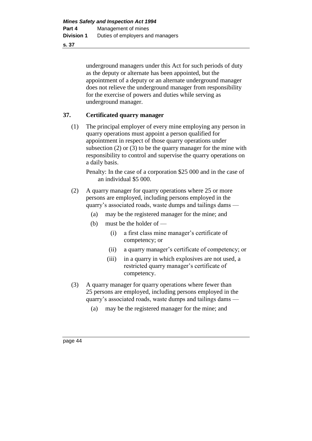underground managers under this Act for such periods of duty as the deputy or alternate has been appointed, but the appointment of a deputy or an alternate underground manager does not relieve the underground manager from responsibility for the exercise of powers and duties while serving as underground manager.

# **37. Certificated quarry manager**

(1) The principal employer of every mine employing any person in quarry operations must appoint a person qualified for appointment in respect of those quarry operations under subsection (2) or (3) to be the quarry manager for the mine with responsibility to control and supervise the quarry operations on a daily basis.

Penalty: In the case of a corporation \$25 000 and in the case of an individual \$5 000.

- (2) A quarry manager for quarry operations where 25 or more persons are employed, including persons employed in the quarry's associated roads, waste dumps and tailings dams —
	- (a) may be the registered manager for the mine; and
	- (b) must be the holder of
		- (i) a first class mine manager's certificate of competency; or
		- (ii) a quarry manager's certificate of competency; or
		- (iii) in a quarry in which explosives are not used, a restricted quarry manager's certificate of competency.
- (3) A quarry manager for quarry operations where fewer than 25 persons are employed, including persons employed in the quarry's associated roads, waste dumps and tailings dams —
	- (a) may be the registered manager for the mine; and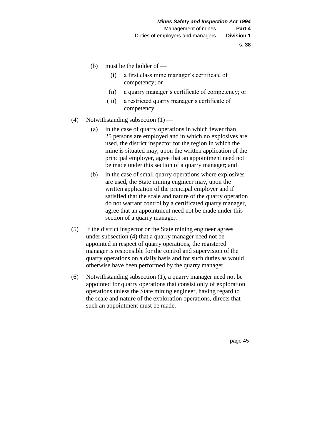- (b) must be the holder of
	- (i) a first class mine manager's certificate of competency; or
	- (ii) a quarry manager's certificate of competency; or
	- (iii) a restricted quarry manager's certificate of competency.
- (4) Notwithstanding subsection  $(1)$ 
	- (a) in the case of quarry operations in which fewer than 25 persons are employed and in which no explosives are used, the district inspector for the region in which the mine is situated may, upon the written application of the principal employer, agree that an appointment need not be made under this section of a quarry manager; and
	- (b) in the case of small quarry operations where explosives are used, the State mining engineer may, upon the written application of the principal employer and if satisfied that the scale and nature of the quarry operation do not warrant control by a certificated quarry manager, agree that an appointment need not be made under this section of a quarry manager.
- (5) If the district inspector or the State mining engineer agrees under subsection (4) that a quarry manager need not be appointed in respect of quarry operations, the registered manager is responsible for the control and supervision of the quarry operations on a daily basis and for such duties as would otherwise have been performed by the quarry manager.
- (6) Notwithstanding subsection (1), a quarry manager need not be appointed for quarry operations that consist only of exploration operations unless the State mining engineer, having regard to the scale and nature of the exploration operations, directs that such an appointment must be made.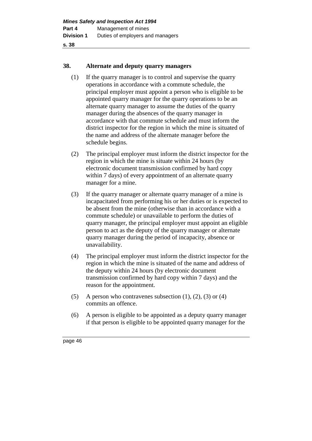# **38. Alternate and deputy quarry managers**

- (1) If the quarry manager is to control and supervise the quarry operations in accordance with a commute schedule, the principal employer must appoint a person who is eligible to be appointed quarry manager for the quarry operations to be an alternate quarry manager to assume the duties of the quarry manager during the absences of the quarry manager in accordance with that commute schedule and must inform the district inspector for the region in which the mine is situated of the name and address of the alternate manager before the schedule begins.
- (2) The principal employer must inform the district inspector for the region in which the mine is situate within 24 hours (by electronic document transmission confirmed by hard copy within 7 days) of every appointment of an alternate quarry manager for a mine.
- (3) If the quarry manager or alternate quarry manager of a mine is incapacitated from performing his or her duties or is expected to be absent from the mine (otherwise than in accordance with a commute schedule) or unavailable to perform the duties of quarry manager, the principal employer must appoint an eligible person to act as the deputy of the quarry manager or alternate quarry manager during the period of incapacity, absence or unavailability.
- (4) The principal employer must inform the district inspector for the region in which the mine is situated of the name and address of the deputy within 24 hours (by electronic document transmission confirmed by hard copy within 7 days) and the reason for the appointment.
- (5) A person who contravenes subsection  $(1)$ ,  $(2)$ ,  $(3)$  or  $(4)$ commits an offence.
- (6) A person is eligible to be appointed as a deputy quarry manager if that person is eligible to be appointed quarry manager for the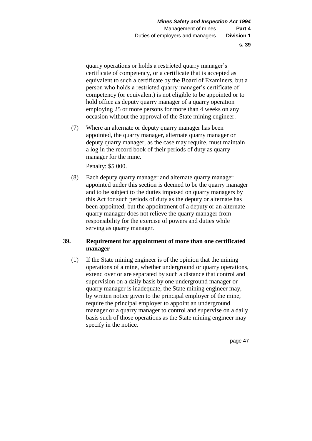quarry operations or holds a restricted quarry manager's certificate of competency, or a certificate that is accepted as equivalent to such a certificate by the Board of Examiners, but a person who holds a restricted quarry manager's certificate of competency (or equivalent) is not eligible to be appointed or to hold office as deputy quarry manager of a quarry operation employing 25 or more persons for more than 4 weeks on any occasion without the approval of the State mining engineer.

(7) Where an alternate or deputy quarry manager has been appointed, the quarry manager, alternate quarry manager or deputy quarry manager, as the case may require, must maintain a log in the record book of their periods of duty as quarry manager for the mine.

Penalty: \$5 000.

(8) Each deputy quarry manager and alternate quarry manager appointed under this section is deemed to be the quarry manager and to be subject to the duties imposed on quarry managers by this Act for such periods of duty as the deputy or alternate has been appointed, but the appointment of a deputy or an alternate quarry manager does not relieve the quarry manager from responsibility for the exercise of powers and duties while serving as quarry manager.

# **39. Requirement for appointment of more than one certificated manager**

(1) If the State mining engineer is of the opinion that the mining operations of a mine, whether underground or quarry operations, extend over or are separated by such a distance that control and supervision on a daily basis by one underground manager or quarry manager is inadequate, the State mining engineer may, by written notice given to the principal employer of the mine, require the principal employer to appoint an underground manager or a quarry manager to control and supervise on a daily basis such of those operations as the State mining engineer may specify in the notice.

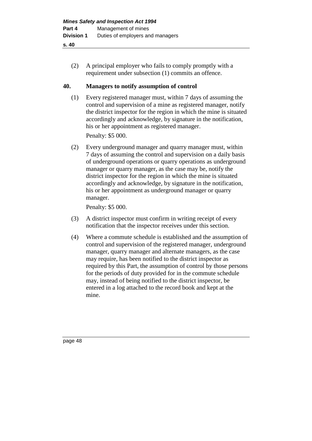(2) A principal employer who fails to comply promptly with a requirement under subsection (1) commits an offence.

# **40. Managers to notify assumption of control**

(1) Every registered manager must, within 7 days of assuming the control and supervision of a mine as registered manager, notify the district inspector for the region in which the mine is situated accordingly and acknowledge, by signature in the notification, his or her appointment as registered manager.

Penalty: \$5 000.

(2) Every underground manager and quarry manager must, within 7 days of assuming the control and supervision on a daily basis of underground operations or quarry operations as underground manager or quarry manager, as the case may be, notify the district inspector for the region in which the mine is situated accordingly and acknowledge, by signature in the notification, his or her appointment as underground manager or quarry manager.

Penalty: \$5 000.

- (3) A district inspector must confirm in writing receipt of every notification that the inspector receives under this section.
- (4) Where a commute schedule is established and the assumption of control and supervision of the registered manager, underground manager, quarry manager and alternate managers, as the case may require, has been notified to the district inspector as required by this Part, the assumption of control by those persons for the periods of duty provided for in the commute schedule may, instead of being notified to the district inspector, be entered in a log attached to the record book and kept at the mine.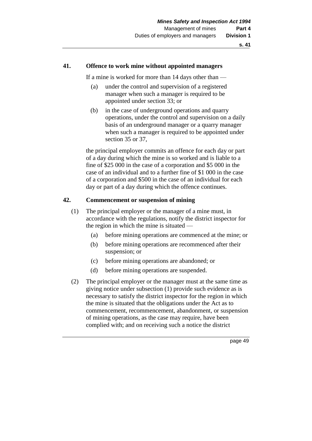# **41. Offence to work mine without appointed managers**

If a mine is worked for more than 14 days other than —

- (a) under the control and supervision of a registered manager when such a manager is required to be appointed under section 33; or
- (b) in the case of underground operations and quarry operations, under the control and supervision on a daily basis of an underground manager or a quarry manager when such a manager is required to be appointed under section 35 or 37,

the principal employer commits an offence for each day or part of a day during which the mine is so worked and is liable to a fine of \$25 000 in the case of a corporation and \$5 000 in the case of an individual and to a further fine of \$1 000 in the case of a corporation and \$500 in the case of an individual for each day or part of a day during which the offence continues.

# **42. Commencement or suspension of mining**

- (1) The principal employer or the manager of a mine must, in accordance with the regulations, notify the district inspector for the region in which the mine is situated —
	- (a) before mining operations are commenced at the mine; or
	- (b) before mining operations are recommenced after their suspension; or
	- (c) before mining operations are abandoned; or
	- (d) before mining operations are suspended.
- (2) The principal employer or the manager must at the same time as giving notice under subsection (1) provide such evidence as is necessary to satisfy the district inspector for the region in which the mine is situated that the obligations under the Act as to commencement, recommencement, abandonment, or suspension of mining operations, as the case may require, have been complied with; and on receiving such a notice the district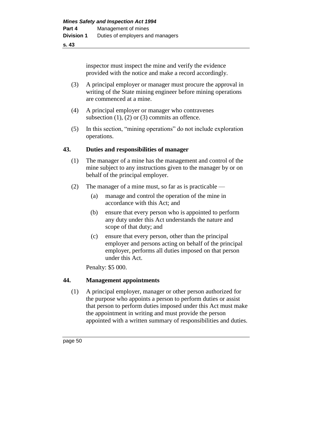inspector must inspect the mine and verify the evidence provided with the notice and make a record accordingly.

- (3) A principal employer or manager must procure the approval in writing of the State mining engineer before mining operations are commenced at a mine.
- (4) A principal employer or manager who contravenes subsection  $(1)$ ,  $(2)$  or  $(3)$  commits an offence.
- (5) In this section, "mining operations" do not include exploration operations.

# **43. Duties and responsibilities of manager**

- (1) The manager of a mine has the management and control of the mine subject to any instructions given to the manager by or on behalf of the principal employer.
- (2) The manager of a mine must, so far as is practicable
	- (a) manage and control the operation of the mine in accordance with this Act; and
	- (b) ensure that every person who is appointed to perform any duty under this Act understands the nature and scope of that duty; and
	- (c) ensure that every person, other than the principal employer and persons acting on behalf of the principal employer, performs all duties imposed on that person under this Act.

Penalty: \$5 000.

# **44. Management appointments**

(1) A principal employer, manager or other person authorized for the purpose who appoints a person to perform duties or assist that person to perform duties imposed under this Act must make the appointment in writing and must provide the person appointed with a written summary of responsibilities and duties.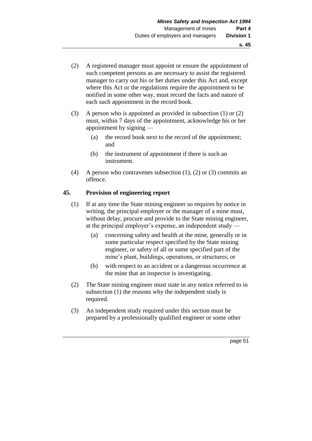- (2) A registered manager must appoint or ensure the appointment of such competent persons as are necessary to assist the registered manager to carry out his or her duties under this Act and, except where this Act or the regulations require the appointment to be notified in some other way, must record the facts and nature of each such appointment in the record book.
- (3) A person who is appointed as provided in subsection (1) or (2) must, within 7 days of the appointment, acknowledge his or her appointment by signing —
	- (a) the record book next to the record of the appointment; and
	- (b) the instrument of appointment if there is such an instrument.
- (4) A person who contravenes subsection (1), (2) or (3) commits an offence.

# **45. Provision of engineering report**

- (1) If at any time the State mining engineer so requires by notice in writing, the principal employer or the manager of a mine must, without delay, procure and provide to the State mining engineer, at the principal employer's expense, an independent study —
	- (a) concerning safety and health at the mine, generally or in some particular respect specified by the State mining engineer, or safety of all or some specified part of the mine's plant, buildings, operations, or structures; or
	- (b) with respect to an accident or a dangerous occurrence at the mine that an inspector is investigating.
- (2) The State mining engineer must state in any notice referred to in subsection (1) the reasons why the independent study is required.
- (3) An independent study required under this section must be prepared by a professionally qualified engineer or some other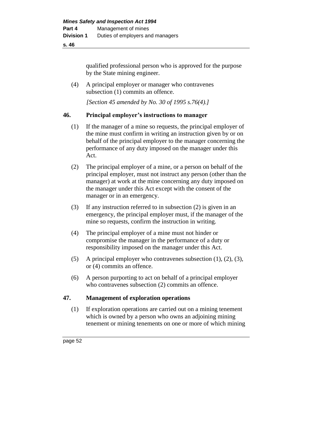qualified professional person who is approved for the purpose by the State mining engineer.

(4) A principal employer or manager who contravenes subsection  $(1)$  commits an offence.

*[Section 45 amended by No. 30 of 1995 s.76(4).]* 

#### **46. Principal employer's instructions to manager**

- (1) If the manager of a mine so requests, the principal employer of the mine must confirm in writing an instruction given by or on behalf of the principal employer to the manager concerning the performance of any duty imposed on the manager under this Act.
- (2) The principal employer of a mine, or a person on behalf of the principal employer, must not instruct any person (other than the manager) at work at the mine concerning any duty imposed on the manager under this Act except with the consent of the manager or in an emergency.
- (3) If any instruction referred to in subsection (2) is given in an emergency, the principal employer must, if the manager of the mine so requests, confirm the instruction in writing.
- (4) The principal employer of a mine must not hinder or compromise the manager in the performance of a duty or responsibility imposed on the manager under this Act.
- (5) A principal employer who contravenes subsection (1), (2), (3), or (4) commits an offence.
- (6) A person purporting to act on behalf of a principal employer who contravenes subsection (2) commits an offence.

#### **47. Management of exploration operations**

(1) If exploration operations are carried out on a mining tenement which is owned by a person who owns an adjoining mining tenement or mining tenements on one or more of which mining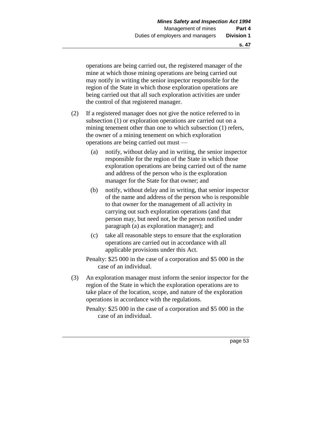operations are being carried out, the registered manager of the mine at which those mining operations are being carried out may notify in writing the senior inspector responsible for the region of the State in which those exploration operations are being carried out that all such exploration activities are under the control of that registered manager.

- (2) If a registered manager does not give the notice referred to in subsection (1) or exploration operations are carried out on a mining tenement other than one to which subsection (1) refers, the owner of a mining tenement on which exploration operations are being carried out must —
	- (a) notify, without delay and in writing, the senior inspector responsible for the region of the State in which those exploration operations are being carried out of the name and address of the person who is the exploration manager for the State for that owner; and
	- (b) notify, without delay and in writing, that senior inspector of the name and address of the person who is responsible to that owner for the management of all activity in carrying out such exploration operations (and that person may, but need not, be the person notified under paragraph (a) as exploration manager); and
	- (c) take all reasonable steps to ensure that the exploration operations are carried out in accordance with all applicable provisions under this Act.

Penalty: \$25 000 in the case of a corporation and \$5 000 in the case of an individual.

- (3) An exploration manager must inform the senior inspector for the region of the State in which the exploration operations are to take place of the location, scope, and nature of the exploration operations in accordance with the regulations.
	- Penalty: \$25 000 in the case of a corporation and \$5 000 in the case of an individual.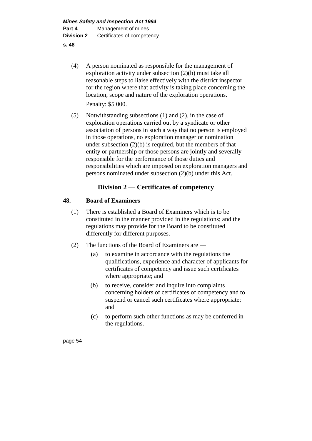- (4) A person nominated as responsible for the management of exploration activity under subsection (2)(b) must take all reasonable steps to liaise effectively with the district inspector for the region where that activity is taking place concerning the location, scope and nature of the exploration operations. Penalty: \$5 000.
- (5) Notwithstanding subsections (1) and (2), in the case of exploration operations carried out by a syndicate or other association of persons in such a way that no person is employed in those operations, no exploration manager or nomination under subsection (2)(b) is required, but the members of that entity or partnership or those persons are jointly and severally responsible for the performance of those duties and responsibilities which are imposed on exploration managers and persons nominated under subsection (2)(b) under this Act.

# **Division 2 — Certificates of competency**

# **48. Board of Examiners**

- (1) There is established a Board of Examiners which is to be constituted in the manner provided in the regulations; and the regulations may provide for the Board to be constituted differently for different purposes.
- (2) The functions of the Board of Examiners are
	- (a) to examine in accordance with the regulations the qualifications, experience and character of applicants for certificates of competency and issue such certificates where appropriate; and
	- (b) to receive, consider and inquire into complaints concerning holders of certificates of competency and to suspend or cancel such certificates where appropriate; and
	- (c) to perform such other functions as may be conferred in the regulations.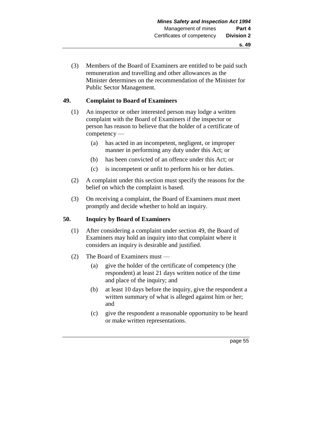(3) Members of the Board of Examiners are entitled to be paid such remuneration and travelling and other allowances as the Minister determines on the recommendation of the Minister for Public Sector Management.

# **49. Complaint to Board of Examiners**

- (1) An inspector or other interested person may lodge a written complaint with the Board of Examiners if the inspector or person has reason to believe that the holder of a certificate of competency —
	- (a) has acted in an incompetent, negligent, or improper manner in performing any duty under this Act; or
	- (b) has been convicted of an offence under this Act; or
	- (c) is incompetent or unfit to perform his or her duties.
- (2) A complaint under this section must specify the reasons for the belief on which the complaint is based.
- (3) On receiving a complaint, the Board of Examiners must meet promptly and decide whether to hold an inquiry.

# **50. Inquiry by Board of Examiners**

- (1) After considering a complaint under section 49, the Board of Examiners may hold an inquiry into that complaint where it considers an inquiry is desirable and justified.
- (2) The Board of Examiners must
	- (a) give the holder of the certificate of competency (the respondent) at least 21 days written notice of the time and place of the inquiry; and
	- (b) at least 10 days before the inquiry, give the respondent a written summary of what is alleged against him or her; and
	- (c) give the respondent a reasonable opportunity to be heard or make written representations.

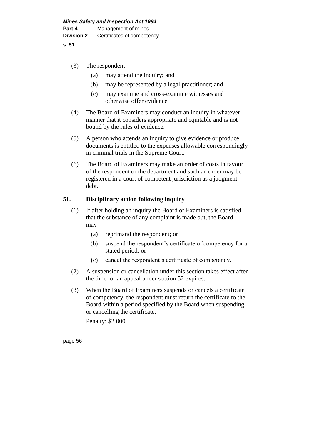- (3) The respondent
	- (a) may attend the inquiry; and
	- (b) may be represented by a legal practitioner; and
	- (c) may examine and cross-examine witnesses and otherwise offer evidence.
- (4) The Board of Examiners may conduct an inquiry in whatever manner that it considers appropriate and equitable and is not bound by the rules of evidence.
- (5) A person who attends an inquiry to give evidence or produce documents is entitled to the expenses allowable correspondingly in criminal trials in the Supreme Court.
- (6) The Board of Examiners may make an order of costs in favour of the respondent or the department and such an order may be registered in a court of competent jurisdiction as a judgment debt.

# **51. Disciplinary action following inquiry**

- (1) If after holding an inquiry the Board of Examiners is satisfied that the substance of any complaint is made out, the Board  $may -$ 
	- (a) reprimand the respondent; or
	- (b) suspend the respondent's certificate of competency for a stated period; or
	- (c) cancel the respondent's certificate of competency.
- (2) A suspension or cancellation under this section takes effect after the time for an appeal under section 52 expires.
- (3) When the Board of Examiners suspends or cancels a certificate of competency, the respondent must return the certificate to the Board within a period specified by the Board when suspending or cancelling the certificate.

Penalty: \$2 000.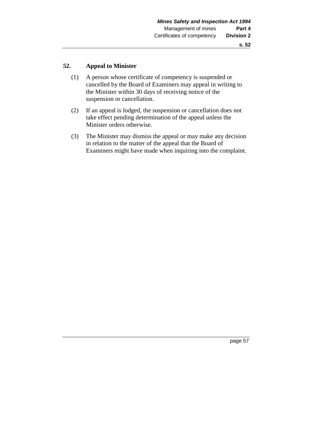#### **52. Appeal to Minister**

- (1) A person whose certificate of competency is suspended or cancelled by the Board of Examiners may appeal in writing to the Minister within 30 days of receiving notice of the suspension or cancellation.
- (2) If an appeal is lodged, the suspension or cancellation does not take effect pending determination of the appeal unless the Minister orders otherwise.
- (3) The Minister may dismiss the appeal or may make any decision in relation to the matter of the appeal that the Board of Examiners might have made when inquiring into the complaint.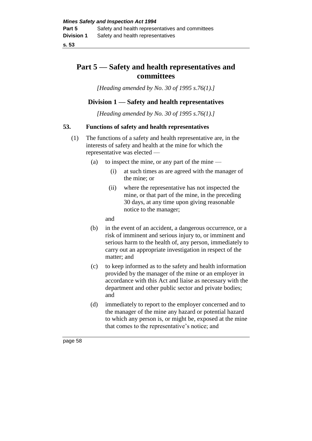# **Part 5 — Safety and health representatives and committees**

*[Heading amended by No. 30 of 1995 s.76(1).]* 

# **Division 1 — Safety and health representatives**

*[Heading amended by No. 30 of 1995 s.76(1).]* 

# **53. Functions of safety and health representatives**

- (1) The functions of a safety and health representative are, in the interests of safety and health at the mine for which the representative was elected —
	- (a) to inspect the mine, or any part of the mine  $-$ 
		- (i) at such times as are agreed with the manager of the mine; or
		- (ii) where the representative has not inspected the mine, or that part of the mine, in the preceding 30 days, at any time upon giving reasonable notice to the manager;

and

- (b) in the event of an accident, a dangerous occurrence, or a risk of imminent and serious injury to, or imminent and serious harm to the health of, any person, immediately to carry out an appropriate investigation in respect of the matter; and
- (c) to keep informed as to the safety and health information provided by the manager of the mine or an employer in accordance with this Act and liaise as necessary with the department and other public sector and private bodies; and
- (d) immediately to report to the employer concerned and to the manager of the mine any hazard or potential hazard to which any person is, or might be, exposed at the mine that comes to the representative's notice; and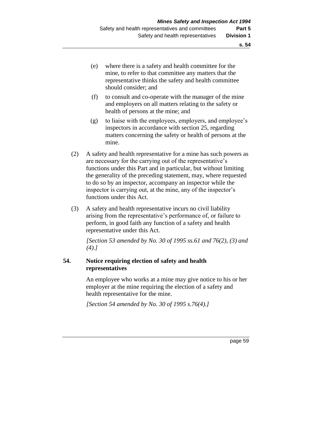- (e) where there is a safety and health committee for the mine, to refer to that committee any matters that the representative thinks the safety and health committee should consider; and
- (f) to consult and co-operate with the manager of the mine and employers on all matters relating to the safety or health of persons at the mine; and
- (g) to liaise with the employees, employers, and employee's inspectors in accordance with section 25, regarding matters concerning the safety or health of persons at the mine.
- (2) A safety and health representative for a mine has such powers as are necessary for the carrying out of the representative's functions under this Part and in particular, but without limiting the generality of the preceding statement, may, where requested to do so by an inspector, accompany an inspector while the inspector is carrying out, at the mine, any of the inspector's functions under this Act.
- (3) A safety and health representative incurs no civil liability arising from the representative's performance of, or failure to perform, in good faith any function of a safety and health representative under this Act.

*[Section 53 amended by No. 30 of 1995 ss.61 and 76(2), (3) and (4).]* 

# **54. Notice requiring election of safety and health representatives**

An employee who works at a mine may give notice to his or her employer at the mine requiring the election of a safety and health representative for the mine.

*[Section 54 amended by No. 30 of 1995 s.76(4).]*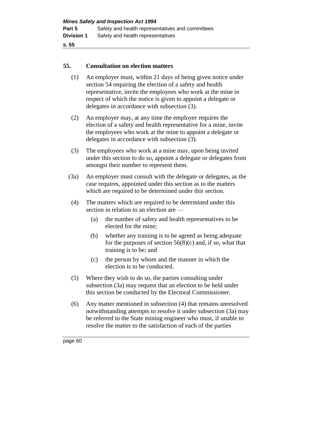#### **55. Consultation on election matters**

- (1) An employer must, within 21 days of being given notice under section 54 requiring the election of a safety and health representative, invite the employees who work at the mine in respect of which the notice is given to appoint a delegate or delegates in accordance with subsection (3).
- (2) An employer may, at any time the employer requires the election of a safety and health representative for a mine, invite the employees who work at the mine to appoint a delegate or delegates in accordance with subsection (3).
- (3) The employees who work at a mine may, upon being invited under this section to do so, appoint a delegate or delegates from amongst their number to represent them.
- (3a) An employer must consult with the delegate or delegates, as the case requires, appointed under this section as to the matters which are required to be determined under this section.
- (4) The matters which are required to be determined under this section in relation to an election are —
	- (a) the number of safety and health representatives to be elected for the mine;
	- (b) whether any training is to be agreed as being adequate for the purposes of section  $56(8)(c)$  and, if so, what that training is to be; and
	- (c) the person by whom and the manner in which the election is to be conducted.
- (5) Where they wish to do so, the parties consulting under subsection (3a) may request that an election to be held under this section be conducted by the Electoral Commissioner.
- (6) Any matter mentioned in subsection (4) that remains unresolved notwithstanding attempts to resolve it under subsection (3a) may be referred to the State mining engineer who must, if unable to resolve the matter to the satisfaction of each of the parties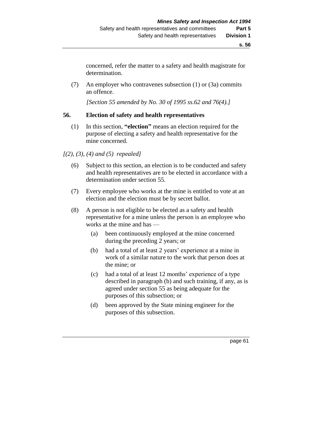concerned, refer the matter to a safety and health magistrate for determination.

(7) An employer who contravenes subsection (1) or (3a) commits an offence.

*[Section 55 amended by No. 30 of 1995 ss.62 and 76(4).]* 

#### **56. Election of safety and health representatives**

(1) In this section, **"election"** means an election required for the purpose of electing a safety and health representative for the mine concerned.

# *[(2), (3), (4) and (5) repealed]*

- (6) Subject to this section, an election is to be conducted and safety and health representatives are to be elected in accordance with a determination under section 55.
- (7) Every employee who works at the mine is entitled to vote at an election and the election must be by secret ballot.
- (8) A person is not eligible to be elected as a safety and health representative for a mine unless the person is an employee who works at the mine and has —
	- (a) been continuously employed at the mine concerned during the preceding 2 years; or
	- (b) had a total of at least 2 years' experience at a mine in work of a similar nature to the work that person does at the mine; or
	- (c) had a total of at least 12 months' experience of a type described in paragraph (b) and such training, if any, as is agreed under section 55 as being adequate for the purposes of this subsection; or
	- (d) been approved by the State mining engineer for the purposes of this subsection.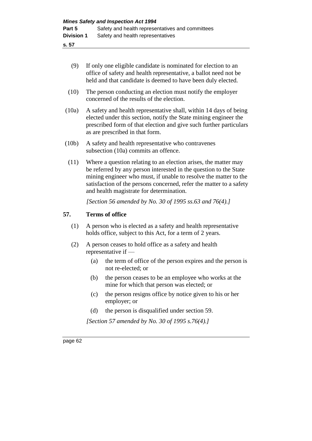- (9) If only one eligible candidate is nominated for election to an office of safety and health representative, a ballot need not be held and that candidate is deemed to have been duly elected.
- (10) The person conducting an election must notify the employer concerned of the results of the election.
- (10a) A safety and health representative shall, within 14 days of being elected under this section, notify the State mining engineer the prescribed form of that election and give such further particulars as are prescribed in that form.
- (10b) A safety and health representative who contravenes subsection (10a) commits an offence.
- (11) Where a question relating to an election arises, the matter may be referred by any person interested in the question to the State mining engineer who must, if unable to resolve the matter to the satisfaction of the persons concerned, refer the matter to a safety and health magistrate for determination.

*[Section 56 amended by No. 30 of 1995 ss.63 and 76(4).]* 

# **57. Terms of office**

- (1) A person who is elected as a safety and health representative holds office, subject to this Act, for a term of 2 years.
- (2) A person ceases to hold office as a safety and health representative if —
	- (a) the term of office of the person expires and the person is not re-elected; or
	- (b) the person ceases to be an employee who works at the mine for which that person was elected; or
	- (c) the person resigns office by notice given to his or her employer; or
	- (d) the person is disqualified under section 59.

*[Section 57 amended by No. 30 of 1995 s.76(4).]*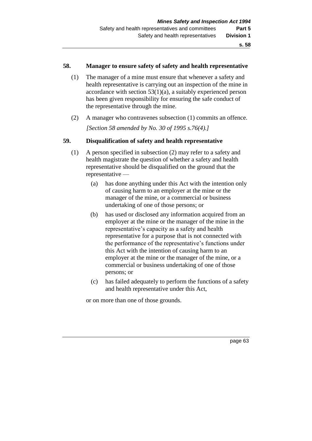#### **58. Manager to ensure safety of safety and health representative**

- (1) The manager of a mine must ensure that whenever a safety and health representative is carrying out an inspection of the mine in accordance with section  $53(1)(a)$ , a suitably experienced person has been given responsibility for ensuring the safe conduct of the representative through the mine.
- (2) A manager who contravenes subsection (1) commits an offence. *[Section 58 amended by No. 30 of 1995 s.76(4).]*

# **59. Disqualification of safety and health representative**

- (1) A person specified in subsection (2) may refer to a safety and health magistrate the question of whether a safety and health representative should be disqualified on the ground that the representative —
	- (a) has done anything under this Act with the intention only of causing harm to an employer at the mine or the manager of the mine, or a commercial or business undertaking of one of those persons; or
	- (b) has used or disclosed any information acquired from an employer at the mine or the manager of the mine in the representative's capacity as a safety and health representative for a purpose that is not connected with the performance of the representative's functions under this Act with the intention of causing harm to an employer at the mine or the manager of the mine, or a commercial or business undertaking of one of those persons; or
	- (c) has failed adequately to perform the functions of a safety and health representative under this Act,

or on more than one of those grounds.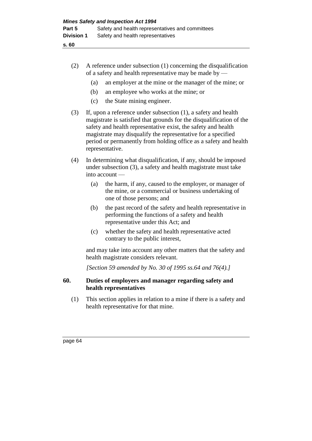- (2) A reference under subsection (1) concerning the disqualification of a safety and health representative may be made by —
	- (a) an employer at the mine or the manager of the mine; or
	- (b) an employee who works at the mine; or
	- (c) the State mining engineer.
- (3) If, upon a reference under subsection (1), a safety and health magistrate is satisfied that grounds for the disqualification of the safety and health representative exist, the safety and health magistrate may disqualify the representative for a specified period or permanently from holding office as a safety and health representative.
- (4) In determining what disqualification, if any, should be imposed under subsection (3), a safety and health magistrate must take into account —
	- (a) the harm, if any, caused to the employer, or manager of the mine, or a commercial or business undertaking of one of those persons; and
	- (b) the past record of the safety and health representative in performing the functions of a safety and health representative under this Act; and
	- (c) whether the safety and health representative acted contrary to the public interest,

and may take into account any other matters that the safety and health magistrate considers relevant.

*[Section 59 amended by No. 30 of 1995 ss.64 and 76(4).]* 

# **60. Duties of employers and manager regarding safety and health representatives**

(1) This section applies in relation to a mine if there is a safety and health representative for that mine.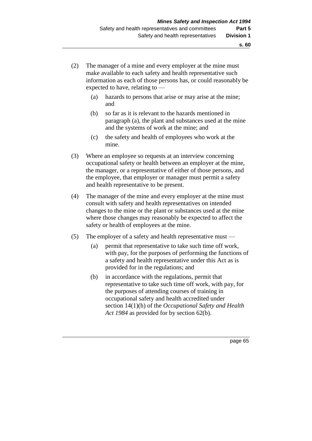- (2) The manager of a mine and every employer at the mine must make available to each safety and health representative such information as each of those persons has, or could reasonably be expected to have, relating to —
	- (a) hazards to persons that arise or may arise at the mine; and
	- (b) so far as it is relevant to the hazards mentioned in paragraph (a), the plant and substances used at the mine and the systems of work at the mine; and
	- (c) the safety and health of employees who work at the mine.
- (3) Where an employee so requests at an interview concerning occupational safety or health between an employer at the mine, the manager, or a representative of either of those persons, and the employee, that employer or manager must permit a safety and health representative to be present.
- (4) The manager of the mine and every employer at the mine must consult with safety and health representatives on intended changes to the mine or the plant or substances used at the mine where those changes may reasonably be expected to affect the safety or health of employees at the mine.
- (5) The employer of a safety and health representative must
	- (a) permit that representative to take such time off work, with pay, for the purposes of performing the functions of a safety and health representative under this Act as is provided for in the regulations; and
	- (b) in accordance with the regulations, permit that representative to take such time off work, with pay, for the purposes of attending courses of training in occupational safety and health accredited under section 14(1)(h) of the *Occupational Safety and Health Act 1984* as provided for by section 62(b).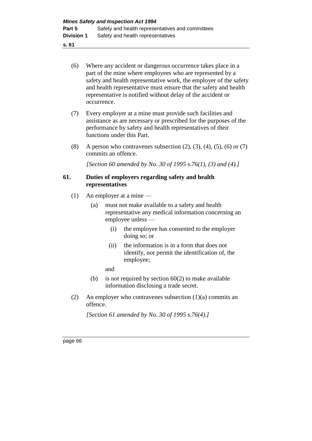- **s. 61**
	- (6) Where any accident or dangerous occurrence takes place in a part of the mine where employees who are represented by a safety and health representative work, the employer of the safety and health representative must ensure that the safety and health representative is notified without delay of the accident or occurrence.
	- (7) Every employer at a mine must provide such facilities and assistance as are necessary or prescribed for the purposes of the performance by safety and health representatives of their functions under this Part.
	- (8) A person who contravenes subsection  $(2)$ ,  $(3)$ ,  $(4)$ ,  $(5)$ ,  $(6)$  or  $(7)$ commits an offence.

*[Section 60 amended by No. 30 of 1995 s.76(1), (3) and (4).]* 

#### **61. Duties of employers regarding safety and health representatives**

- (1) An employer at a mine
	- (a) must not make available to a safety and health representative any medical information concerning an employee unless —
		- (i) the employee has consented to the employer doing so; or
		- (ii) the information is in a form that does not identify, nor permit the identification of, the employee;
		- and
	- (b) is not required by section  $60(2)$  to make available information disclosing a trade secret.
- (2) An employer who contravenes subsection (1)(a) commits an offence.

*[Section 61 amended by No. 30 of 1995 s.76(4).]*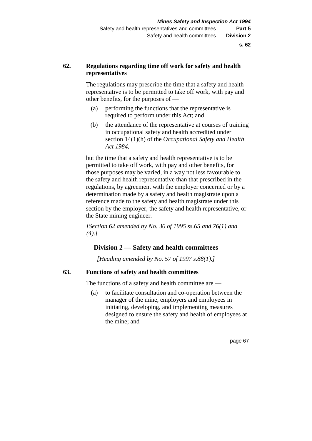### **62. Regulations regarding time off work for safety and health representatives**

The regulations may prescribe the time that a safety and health representative is to be permitted to take off work, with pay and other benefits, for the purposes of —

- (a) performing the functions that the representative is required to perform under this Act; and
- (b) the attendance of the representative at courses of training in occupational safety and health accredited under section 14(1)(h) of the *Occupational Safety and Health Act 1984*,

but the time that a safety and health representative is to be permitted to take off work, with pay and other benefits, for those purposes may be varied, in a way not less favourable to the safety and health representative than that prescribed in the regulations, by agreement with the employer concerned or by a determination made by a safety and health magistrate upon a reference made to the safety and health magistrate under this section by the employer, the safety and health representative, or the State mining engineer.

*[Section 62 amended by No. 30 of 1995 ss.65 and 76(1) and (4).]* 

## **Division 2 — Safety and health committees**

*[Heading amended by No. 57 of 1997 s.88(1).]*

#### **63. Functions of safety and health committees**

The functions of a safety and health committee are —

(a) to facilitate consultation and co-operation between the manager of the mine, employers and employees in initiating, developing, and implementing measures designed to ensure the safety and health of employees at the mine; and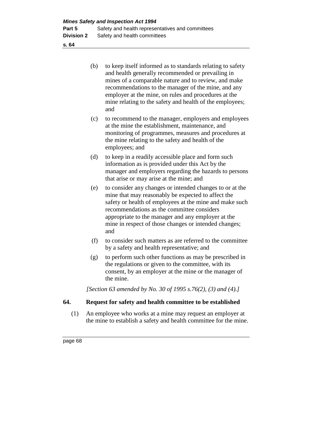- (b) to keep itself informed as to standards relating to safety and health generally recommended or prevailing in mines of a comparable nature and to review, and make recommendations to the manager of the mine, and any employer at the mine, on rules and procedures at the mine relating to the safety and health of the employees; and
- (c) to recommend to the manager, employers and employees at the mine the establishment, maintenance, and monitoring of programmes, measures and procedures at the mine relating to the safety and health of the employees; and
- (d) to keep in a readily accessible place and form such information as is provided under this Act by the manager and employers regarding the hazards to persons that arise or may arise at the mine; and
- (e) to consider any changes or intended changes to or at the mine that may reasonably be expected to affect the safety or health of employees at the mine and make such recommendations as the committee considers appropriate to the manager and any employer at the mine in respect of those changes or intended changes; and
- (f) to consider such matters as are referred to the committee by a safety and health representative; and
- (g) to perform such other functions as may be prescribed in the regulations or given to the committee, with its consent, by an employer at the mine or the manager of the mine.

*[Section 63 amended by No. 30 of 1995 s.76(2), (3) and (4).]* 

## **64. Request for safety and health committee to be established**

(1) An employee who works at a mine may request an employer at the mine to establish a safety and health committee for the mine.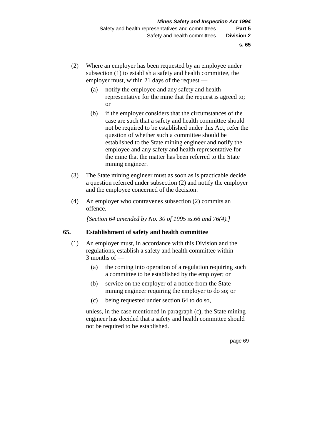- (2) Where an employer has been requested by an employee under subsection (1) to establish a safety and health committee, the employer must, within 21 days of the request —
	- (a) notify the employee and any safety and health representative for the mine that the request is agreed to; or
	- (b) if the employer considers that the circumstances of the case are such that a safety and health committee should not be required to be established under this Act, refer the question of whether such a committee should be established to the State mining engineer and notify the employee and any safety and health representative for the mine that the matter has been referred to the State mining engineer.
- (3) The State mining engineer must as soon as is practicable decide a question referred under subsection (2) and notify the employer and the employee concerned of the decision.
- (4) An employer who contravenes subsection (2) commits an offence.

*[Section 64 amended by No. 30 of 1995 ss.66 and 76(4).]* 

#### **65. Establishment of safety and health committee**

- (1) An employer must, in accordance with this Division and the regulations, establish a safety and health committee within 3 months of —
	- (a) the coming into operation of a regulation requiring such a committee to be established by the employer; or
	- (b) service on the employer of a notice from the State mining engineer requiring the employer to do so; or
	- (c) being requested under section 64 to do so,

unless, in the case mentioned in paragraph (c), the State mining engineer has decided that a safety and health committee should not be required to be established.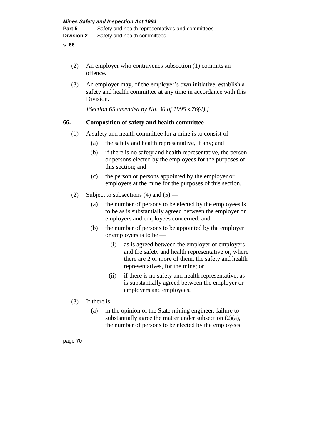- (2) An employer who contravenes subsection (1) commits an offence.
- (3) An employer may, of the employer's own initiative, establish a safety and health committee at any time in accordance with this Division.

*[Section 65 amended by No. 30 of 1995 s.76(4).]* 

### **66. Composition of safety and health committee**

- (1) A safety and health committee for a mine is to consist of  $-$ 
	- (a) the safety and health representative, if any; and
	- (b) if there is no safety and health representative, the person or persons elected by the employees for the purposes of this section; and
	- (c) the person or persons appointed by the employer or employers at the mine for the purposes of this section.
- (2) Subject to subsections (4) and  $(5)$ 
	- (a) the number of persons to be elected by the employees is to be as is substantially agreed between the employer or employers and employees concerned; and
	- (b) the number of persons to be appointed by the employer or employers is to be —
		- (i) as is agreed between the employer or employers and the safety and health representative or, where there are 2 or more of them, the safety and health representatives, for the mine; or
		- (ii) if there is no safety and health representative, as is substantially agreed between the employer or employers and employees.
- $(3)$  If there is
	- (a) in the opinion of the State mining engineer, failure to substantially agree the matter under subsection (2)(a), the number of persons to be elected by the employees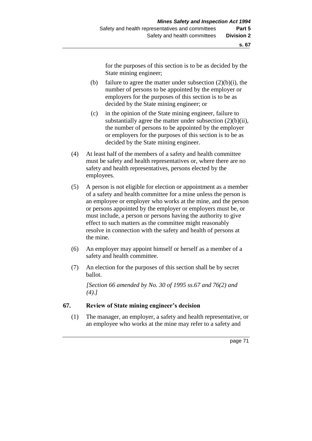for the purposes of this section is to be as decided by the State mining engineer;

- (b) failure to agree the matter under subsection  $(2)(b)(i)$ , the number of persons to be appointed by the employer or employers for the purposes of this section is to be as decided by the State mining engineer; or
- (c) in the opinion of the State mining engineer, failure to substantially agree the matter under subsection  $(2)(b)(ii)$ , the number of persons to be appointed by the employer or employers for the purposes of this section is to be as decided by the State mining engineer.
- (4) At least half of the members of a safety and health committee must be safety and health representatives or, where there are no safety and health representatives, persons elected by the employees.
- (5) A person is not eligible for election or appointment as a member of a safety and health committee for a mine unless the person is an employee or employer who works at the mine, and the person or persons appointed by the employer or employers must be, or must include, a person or persons having the authority to give effect to such matters as the committee might reasonably resolve in connection with the safety and health of persons at the mine.
- (6) An employer may appoint himself or herself as a member of a safety and health committee.
- (7) An election for the purposes of this section shall be by secret ballot.

*[Section 66 amended by No. 30 of 1995 ss.67 and 76(2) and (4).]* 

#### **67. Review of State mining engineer's decision**

(1) The manager, an employer, a safety and health representative, or an employee who works at the mine may refer to a safety and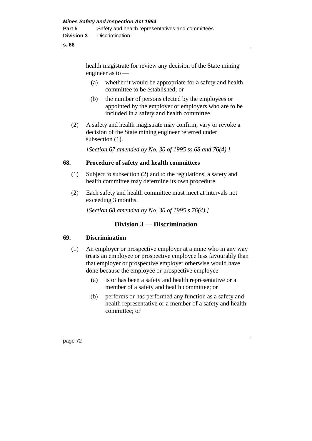health magistrate for review any decision of the State mining engineer as to —

- (a) whether it would be appropriate for a safety and health committee to be established; or
- (b) the number of persons elected by the employees or appointed by the employer or employers who are to be included in a safety and health committee.
- (2) A safety and health magistrate may confirm, vary or revoke a decision of the State mining engineer referred under subsection  $(1)$ .

*[Section 67 amended by No. 30 of 1995 ss.68 and 76(4).]* 

#### **68. Procedure of safety and health committees**

- (1) Subject to subsection (2) and to the regulations, a safety and health committee may determine its own procedure.
- (2) Each safety and health committee must meet at intervals not exceeding 3 months.

*[Section 68 amended by No. 30 of 1995 s.76(4).]* 

## **Division 3 — Discrimination**

#### **69. Discrimination**

- (1) An employer or prospective employer at a mine who in any way treats an employee or prospective employee less favourably than that employer or prospective employer otherwise would have done because the employee or prospective employee —
	- (a) is or has been a safety and health representative or a member of a safety and health committee; or
	- (b) performs or has performed any function as a safety and health representative or a member of a safety and health committee; or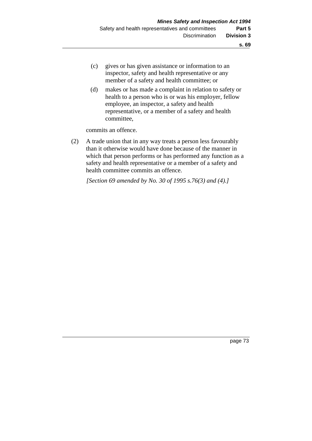- (c) gives or has given assistance or information to an inspector, safety and health representative or any member of a safety and health committee; or
- (d) makes or has made a complaint in relation to safety or health to a person who is or was his employer, fellow employee, an inspector, a safety and health representative, or a member of a safety and health committee,

commits an offence.

(2) A trade union that in any way treats a person less favourably than it otherwise would have done because of the manner in which that person performs or has performed any function as a safety and health representative or a member of a safety and health committee commits an offence.

*[Section 69 amended by No. 30 of 1995 s.76(3) and (4).]*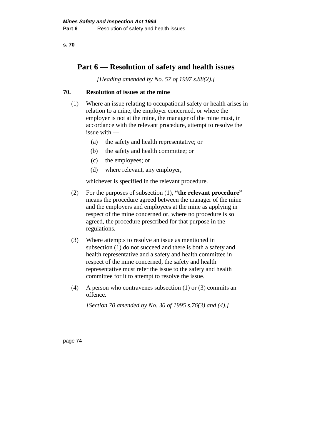# **Part 6 — Resolution of safety and health issues**

*[Heading amended by No. 57 of 1997 s.88(2).]*

## **70. Resolution of issues at the mine**

- (1) Where an issue relating to occupational safety or health arises in relation to a mine, the employer concerned, or where the employer is not at the mine, the manager of the mine must, in accordance with the relevant procedure, attempt to resolve the issue with —
	- (a) the safety and health representative; or
	- (b) the safety and health committee; or
	- (c) the employees; or
	- (d) where relevant, any employer,

whichever is specified in the relevant procedure.

- (2) For the purposes of subsection (1), **"the relevant procedure"** means the procedure agreed between the manager of the mine and the employers and employees at the mine as applying in respect of the mine concerned or, where no procedure is so agreed, the procedure prescribed for that purpose in the regulations.
- (3) Where attempts to resolve an issue as mentioned in subsection (1) do not succeed and there is both a safety and health representative and a safety and health committee in respect of the mine concerned, the safety and health representative must refer the issue to the safety and health committee for it to attempt to resolve the issue.
- (4) A person who contravenes subsection (1) or (3) commits an offence.

*[Section 70 amended by No. 30 of 1995 s.76(3) and (4).]*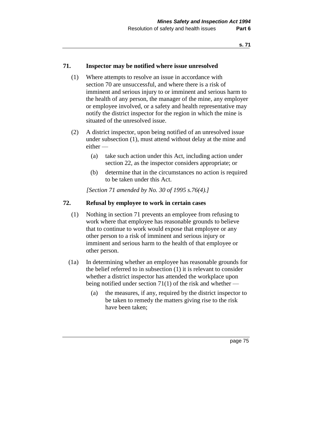#### **71. Inspector may be notified where issue unresolved**

- (1) Where attempts to resolve an issue in accordance with section 70 are unsuccessful, and where there is a risk of imminent and serious injury to or imminent and serious harm to the health of any person, the manager of the mine, any employer or employee involved, or a safety and health representative may notify the district inspector for the region in which the mine is situated of the unresolved issue.
- (2) A district inspector, upon being notified of an unresolved issue under subsection (1), must attend without delay at the mine and either —
	- (a) take such action under this Act, including action under section 22, as the inspector considers appropriate; or
	- (b) determine that in the circumstances no action is required to be taken under this Act.

*[Section 71 amended by No. 30 of 1995 s.76(4).]* 

#### **72. Refusal by employee to work in certain cases**

- (1) Nothing in section 71 prevents an employee from refusing to work where that employee has reasonable grounds to believe that to continue to work would expose that employee or any other person to a risk of imminent and serious injury or imminent and serious harm to the health of that employee or other person.
- (1a) In determining whether an employee has reasonable grounds for the belief referred to in subsection (1) it is relevant to consider whether a district inspector has attended the workplace upon being notified under section  $71(1)$  of the risk and whether —
	- (a) the measures, if any, required by the district inspector to be taken to remedy the matters giving rise to the risk have been taken;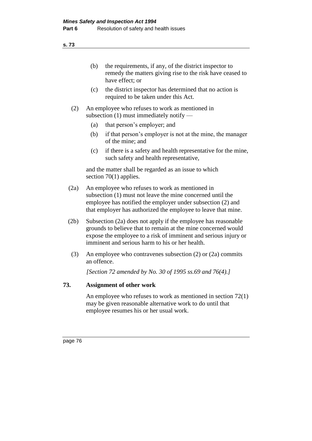- (b) the requirements, if any, of the district inspector to remedy the matters giving rise to the risk have ceased to have effect; or
- (c) the district inspector has determined that no action is required to be taken under this Act.
- (2) An employee who refuses to work as mentioned in subsection (1) must immediately notify —
	- (a) that person's employer; and
	- (b) if that person's employer is not at the mine, the manager of the mine; and
	- (c) if there is a safety and health representative for the mine, such safety and health representative,

and the matter shall be regarded as an issue to which section 70(1) applies.

- (2a) An employee who refuses to work as mentioned in subsection (1) must not leave the mine concerned until the employee has notified the employer under subsection (2) and that employer has authorized the employee to leave that mine.
- (2b) Subsection (2a) does not apply if the employee has reasonable grounds to believe that to remain at the mine concerned would expose the employee to a risk of imminent and serious injury or imminent and serious harm to his or her health.
- (3) An employee who contravenes subsection (2) or (2a) commits an offence.

*[Section 72 amended by No. 30 of 1995 ss.69 and 76(4).]* 

## **73. Assignment of other work**

An employee who refuses to work as mentioned in section 72(1) may be given reasonable alternative work to do until that employee resumes his or her usual work.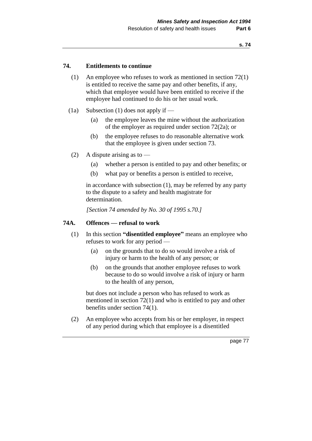#### **74. Entitlements to continue**

- (1) An employee who refuses to work as mentioned in section 72(1) is entitled to receive the same pay and other benefits, if any, which that employee would have been entitled to receive if the employee had continued to do his or her usual work.
- (1a) Subsection (1) does not apply if
	- (a) the employee leaves the mine without the authorization of the employer as required under section 72(2a); or
	- (b) the employee refuses to do reasonable alternative work that the employee is given under section 73.
	- (2) A dispute arising as to  $-$ 
		- (a) whether a person is entitled to pay and other benefits; or
		- (b) what pay or benefits a person is entitled to receive,

in accordance with subsection (1), may be referred by any party to the dispute to a safety and health magistrate for determination.

*[Section 74 amended by No. 30 of 1995 s.70.]* 

#### **74A. Offences — refusal to work**

- (1) In this section **"disentitled employee"** means an employee who refuses to work for any period —
	- (a) on the grounds that to do so would involve a risk of injury or harm to the health of any person; or
	- (b) on the grounds that another employee refuses to work because to do so would involve a risk of injury or harm to the health of any person,

but does not include a person who has refused to work as mentioned in section 72(1) and who is entitled to pay and other benefits under section 74(1).

(2) An employee who accepts from his or her employer, in respect of any period during which that employee is a disentitled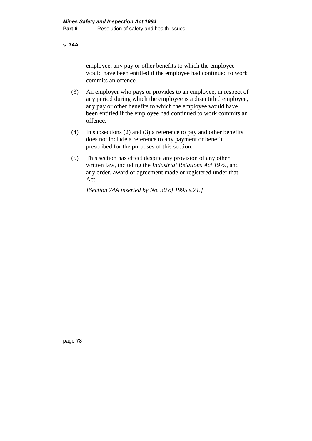#### **s. 74A**

employee, any pay or other benefits to which the employee would have been entitled if the employee had continued to work commits an offence.

- (3) An employer who pays or provides to an employee, in respect of any period during which the employee is a disentitled employee, any pay or other benefits to which the employee would have been entitled if the employee had continued to work commits an offence.
- (4) In subsections (2) and (3) a reference to pay and other benefits does not include a reference to any payment or benefit prescribed for the purposes of this section.
- (5) This section has effect despite any provision of any other written law, including the *Industrial Relations Act 1979,* and any order, award or agreement made or registered under that Act.

*[Section 74A inserted by No. 30 of 1995 s.71.]*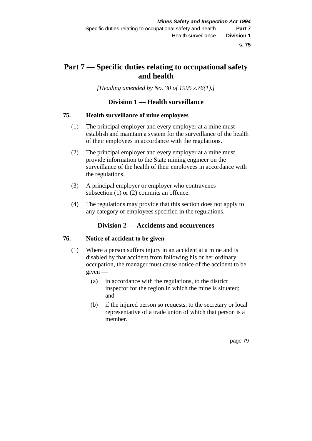# **Part 7 — Specific duties relating to occupational safety and health**

*[Heading amended by No. 30 of 1995 s.76(1).]* 

## **Division 1 — Health surveillance**

#### **75. Health surveillance of mine employees**

- (1) The principal employer and every employer at a mine must establish and maintain a system for the surveillance of the health of their employees in accordance with the regulations.
- (2) The principal employer and every employer at a mine must provide information to the State mining engineer on the surveillance of the health of their employees in accordance with the regulations.
- (3) A principal employer or employer who contravenes subsection (1) or (2) commits an offence.
- (4) The regulations may provide that this section does not apply to any category of employees specified in the regulations.

## **Division 2 — Accidents and occurrences**

#### **76. Notice of accident to be given**

- (1) Where a person suffers injury in an accident at a mine and is disabled by that accident from following his or her ordinary occupation, the manager must cause notice of the accident to be given —
	- (a) in accordance with the regulations, to the district inspector for the region in which the mine is situated; and
	- (b) if the injured person so requests, to the secretary or local representative of a trade union of which that person is a member.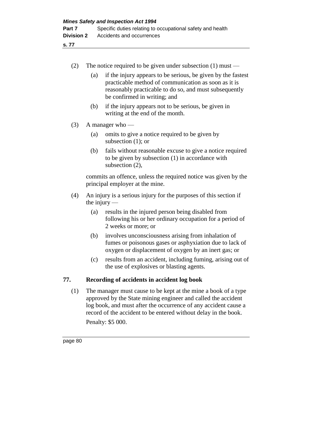| (2) |                                                                                                                                                                                                    | The notice required to be given under subsection $(1)$ must -                                                                                                                                                  |  |
|-----|----------------------------------------------------------------------------------------------------------------------------------------------------------------------------------------------------|----------------------------------------------------------------------------------------------------------------------------------------------------------------------------------------------------------------|--|
|     | (a)                                                                                                                                                                                                | if the injury appears to be serious, be given by the fastest<br>practicable method of communication as soon as it is<br>reasonably practicable to do so, and must subsequently<br>be confirmed in writing; and |  |
|     | (b)                                                                                                                                                                                                | if the injury appears not to be serious, be given in<br>writing at the end of the month.                                                                                                                       |  |
| (3) | A manager who $-$                                                                                                                                                                                  |                                                                                                                                                                                                                |  |
|     | (a)                                                                                                                                                                                                | omits to give a notice required to be given by<br>subsection $(1)$ ; or                                                                                                                                        |  |
|     | (b)                                                                                                                                                                                                | fails without reasonable excuse to give a notice required<br>to be given by subsection (1) in accordance with<br>subsection (2),                                                                               |  |
|     | commits an offence, unless the required notice was given by the<br>principal employer at the mine.                                                                                                 |                                                                                                                                                                                                                |  |
| (4) | An injury is a serious injury for the purposes of this section if<br>the injury $-$                                                                                                                |                                                                                                                                                                                                                |  |
|     | (a)                                                                                                                                                                                                | results in the injured person being disabled from<br>following his or her ordinary occupation for a period of<br>2 weeks or more; or                                                                           |  |
|     | (b)                                                                                                                                                                                                | involves unconsciousness arising from inhalation of<br>fumes or poisonous gases or asphyxiation due to lack of<br>oxygen or displacement of oxygen by an inert gas; or                                         |  |
|     | (c)                                                                                                                                                                                                | results from an accident, including fuming, arising out of<br>the use of explosives or blasting agents.                                                                                                        |  |
| 77. |                                                                                                                                                                                                    | Recording of accidents in accident log book                                                                                                                                                                    |  |
| (1) | The manager must cause to be kept at the mine a book of a type<br>approved by the State mining engineer and called the accident<br>log book, and must after the occurrence of any accident cause a |                                                                                                                                                                                                                |  |

record of the accident to be entered without delay in the book.

page 80

Penalty: \$5 000.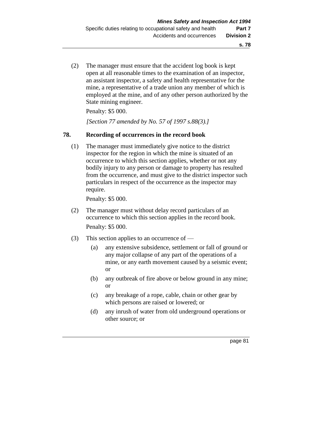(2) The manager must ensure that the accident log book is kept open at all reasonable times to the examination of an inspector, an assistant inspector, a safety and health representative for the mine, a representative of a trade union any member of which is employed at the mine, and of any other person authorized by the State mining engineer.

Penalty: \$5 000.

*[Section 77 amended by No. 57 of 1997 s.88(3).]* 

#### **78. Recording of occurrences in the record book**

(1) The manager must immediately give notice to the district inspector for the region in which the mine is situated of an occurrence to which this section applies, whether or not any bodily injury to any person or damage to property has resulted from the occurrence, and must give to the district inspector such particulars in respect of the occurrence as the inspector may require.

Penalty: \$5 000.

- (2) The manager must without delay record particulars of an occurrence to which this section applies in the record book. Penalty: \$5 000.
- (3) This section applies to an occurrence of
	- (a) any extensive subsidence, settlement or fall of ground or any major collapse of any part of the operations of a mine, or any earth movement caused by a seismic event; or
	- (b) any outbreak of fire above or below ground in any mine; or
	- (c) any breakage of a rope, cable, chain or other gear by which persons are raised or lowered; or
	- (d) any inrush of water from old underground operations or other source; or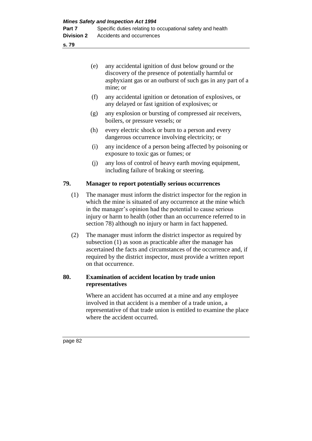| (e) | any accidental ignition of dust below ground or the            |
|-----|----------------------------------------------------------------|
|     | discovery of the presence of potentially harmful or            |
|     | as apply xiant gas or an outburst of such gas in any part of a |
|     | mine; or                                                       |

- (f) any accidental ignition or detonation of explosives, or any delayed or fast ignition of explosives; or
- (g) any explosion or bursting of compressed air receivers, boilers, or pressure vessels; or
- (h) every electric shock or burn to a person and every dangerous occurrence involving electricity; or
- (i) any incidence of a person being affected by poisoning or exposure to toxic gas or fumes; or
- (j) any loss of control of heavy earth moving equipment, including failure of braking or steering.

## **79. Manager to report potentially serious occurrences**

- (1) The manager must inform the district inspector for the region in which the mine is situated of any occurrence at the mine which in the manager's opinion had the potential to cause serious injury or harm to health (other than an occurrence referred to in section 78) although no injury or harm in fact happened.
- (2) The manager must inform the district inspector as required by subsection (1) as soon as practicable after the manager has ascertained the facts and circumstances of the occurrence and, if required by the district inspector, must provide a written report on that occurrence.

## **80. Examination of accident location by trade union representatives**

Where an accident has occurred at a mine and any employee involved in that accident is a member of a trade union, a representative of that trade union is entitled to examine the place where the accident occurred.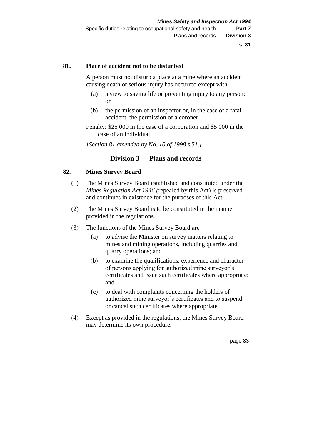#### **81. Place of accident not to be disturbed**

A person must not disturb a place at a mine where an accident causing death or serious injury has occurred except with —

- (a) a view to saving life or preventing injury to any person; or
- (b) the permission of an inspector or, in the case of a fatal accident, the permission of a coroner.
- Penalty: \$25 000 in the case of a corporation and \$5 000 in the case of an individual.

*[Section 81 amended by No. 10 of 1998 s.51.]*

## **Division 3 — Plans and records**

#### **82. Mines Survey Board**

- (1) The Mines Survey Board established and constituted under the *Mines Regulation Act 1946 (*repealed by this Act) is preserved and continues in existence for the purposes of this Act.
- (2) The Mines Survey Board is to be constituted in the manner provided in the regulations.
- (3) The functions of the Mines Survey Board are
	- (a) to advise the Minister on survey matters relating to mines and mining operations, including quarries and quarry operations; and
	- (b) to examine the qualifications, experience and character of persons applying for authorized mine surveyor's certificates and issue such certificates where appropriate; and
	- (c) to deal with complaints concerning the holders of authorized mine surveyor's certificates and to suspend or cancel such certificates where appropriate.
- (4) Except as provided in the regulations, the Mines Survey Board may determine its own procedure.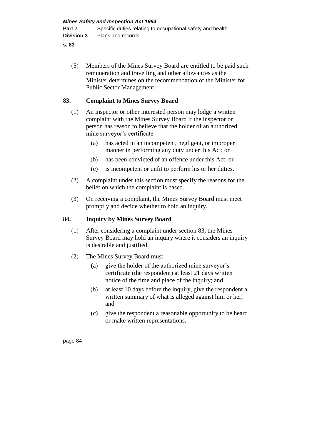(5) Members of the Mines Survey Board are entitled to be paid such remuneration and travelling and other allowances as the Minister determines on the recommendation of the Minister for Public Sector Management.

## **83. Complaint to Mines Survey Board**

- (1) An inspector or other interested person may lodge a written complaint with the Mines Survey Board if the inspector or person has reason to believe that the holder of an authorized mine surveyor's certificate —
	- (a) has acted in an incompetent, negligent, or improper manner in performing any duty under this Act; or
	- (b) has been convicted of an offence under this Act; or
	- (c) is incompetent or unfit to perform his or her duties.
- (2) A complaint under this section must specify the reasons for the belief on which the complaint is based.
- (3) On receiving a complaint, the Mines Survey Board must meet promptly and decide whether to hold an inquiry.

## **84. Inquiry by Mines Survey Board**

- (1) After considering a complaint under section 83, the Mines Survey Board may hold an inquiry where it considers an inquiry is desirable and justified.
- (2) The Mines Survey Board must
	- (a) give the holder of the authorized mine surveyor's certificate (the respondent) at least 21 days written notice of the time and place of the inquiry; and
	- (b) at least 10 days before the inquiry, give the respondent a written summary of what is alleged against him or her; and
	- (c) give the respondent a reasonable opportunity to be heard or make written representations.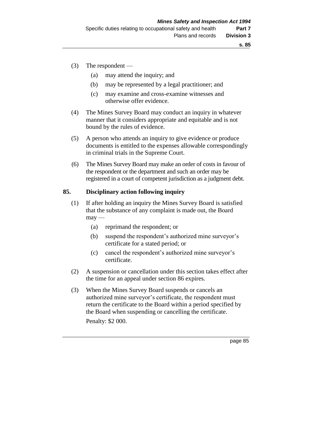- (3) The respondent
	- (a) may attend the inquiry; and
	- (b) may be represented by a legal practitioner; and
	- (c) may examine and cross-examine witnesses and otherwise offer evidence.
- (4) The Mines Survey Board may conduct an inquiry in whatever manner that it considers appropriate and equitable and is not bound by the rules of evidence.
- (5) A person who attends an inquiry to give evidence or produce documents is entitled to the expenses allowable correspondingly in criminal trials in the Supreme Court.
- (6) The Mines Survey Board may make an order of costs in favour of the respondent or the department and such an order may be registered in a court of competent jurisdiction as a judgment debt.

### **85. Disciplinary action following inquiry**

- (1) If after holding an inquiry the Mines Survey Board is satisfied that the substance of any complaint is made out, the Board  $m$ ay —
	- (a) reprimand the respondent; or
	- (b) suspend the respondent's authorized mine surveyor's certificate for a stated period; or
	- (c) cancel the respondent's authorized mine surveyor's certificate.
- (2) A suspension or cancellation under this section takes effect after the time for an appeal under section 86 expires.
- (3) When the Mines Survey Board suspends or cancels an authorized mine surveyor's certificate, the respondent must return the certificate to the Board within a period specified by the Board when suspending or cancelling the certificate. Penalty: \$2 000.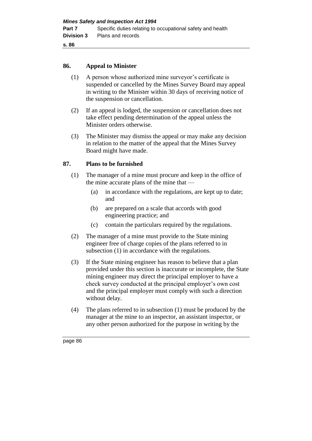#### **86. Appeal to Minister**

- (1) A person whose authorized mine surveyor's certificate is suspended or cancelled by the Mines Survey Board may appeal in writing to the Minister within 30 days of receiving notice of the suspension or cancellation.
- (2) If an appeal is lodged, the suspension or cancellation does not take effect pending determination of the appeal unless the Minister orders otherwise.
- (3) The Minister may dismiss the appeal or may make any decision in relation to the matter of the appeal that the Mines Survey Board might have made.

### **87. Plans to be furnished**

- (1) The manager of a mine must procure and keep in the office of the mine accurate plans of the mine that —
	- (a) in accordance with the regulations, are kept up to date; and
	- (b) are prepared on a scale that accords with good engineering practice; and
	- (c) contain the particulars required by the regulations.
- (2) The manager of a mine must provide to the State mining engineer free of charge copies of the plans referred to in subsection (1) in accordance with the regulations.
- (3) If the State mining engineer has reason to believe that a plan provided under this section is inaccurate or incomplete, the State mining engineer may direct the principal employer to have a check survey conducted at the principal employer's own cost and the principal employer must comply with such a direction without delay.
- (4) The plans referred to in subsection (1) must be produced by the manager at the mine to an inspector, an assistant inspector, or any other person authorized for the purpose in writing by the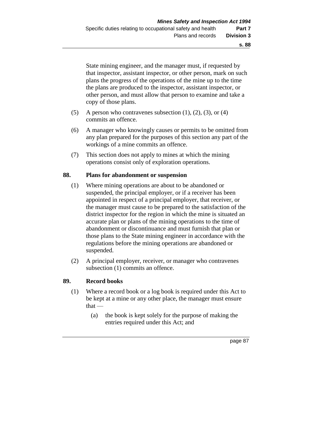State mining engineer, and the manager must, if requested by that inspector, assistant inspector, or other person, mark on such plans the progress of the operations of the mine up to the time the plans are produced to the inspector, assistant inspector, or other person, and must allow that person to examine and take a copy of those plans.

- (5) A person who contravenes subsection  $(1)$ ,  $(2)$ ,  $(3)$ , or  $(4)$ commits an offence.
- (6) A manager who knowingly causes or permits to be omitted from any plan prepared for the purposes of this section any part of the workings of a mine commits an offence.
- (7) This section does not apply to mines at which the mining operations consist only of exploration operations.

#### **88. Plans for abandonment or suspension**

- (1) Where mining operations are about to be abandoned or suspended, the principal employer, or if a receiver has been appointed in respect of a principal employer, that receiver, or the manager must cause to be prepared to the satisfaction of the district inspector for the region in which the mine is situated an accurate plan or plans of the mining operations to the time of abandonment or discontinuance and must furnish that plan or those plans to the State mining engineer in accordance with the regulations before the mining operations are abandoned or suspended.
- (2) A principal employer, receiver, or manager who contravenes subsection (1) commits an offence.

#### **89. Record books**

- (1) Where a record book or a log book is required under this Act to be kept at a mine or any other place, the manager must ensure  $that -$ 
	- (a) the book is kept solely for the purpose of making the entries required under this Act; and

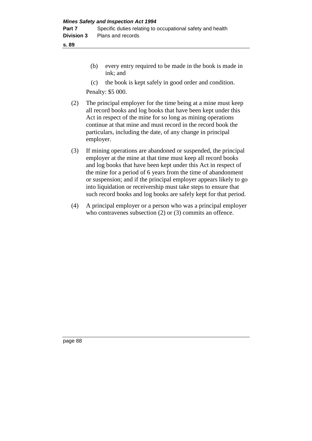- (b) every entry required to be made in the book is made in ink; and
- (c) the book is kept safely in good order and condition.

Penalty: \$5 000.

- (2) The principal employer for the time being at a mine must keep all record books and log books that have been kept under this Act in respect of the mine for so long as mining operations continue at that mine and must record in the record book the particulars, including the date, of any change in principal employer.
- (3) If mining operations are abandoned or suspended, the principal employer at the mine at that time must keep all record books and log books that have been kept under this Act in respect of the mine for a period of 6 years from the time of abandonment or suspension; and if the principal employer appears likely to go into liquidation or receivership must take steps to ensure that such record books and log books are safely kept for that period.
- (4) A principal employer or a person who was a principal employer who contravenes subsection (2) or (3) commits an offence.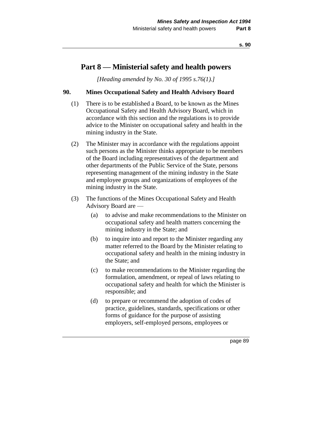# **Part 8 — Ministerial safety and health powers**

*[Heading amended by No. 30 of 1995 s.76(1).]* 

### **90. Mines Occupational Safety and Health Advisory Board**

- (1) There is to be established a Board, to be known as the Mines Occupational Safety and Health Advisory Board, which in accordance with this section and the regulations is to provide advice to the Minister on occupational safety and health in the mining industry in the State.
- (2) The Minister may in accordance with the regulations appoint such persons as the Minister thinks appropriate to be members of the Board including representatives of the department and other departments of the Public Service of the State, persons representing management of the mining industry in the State and employee groups and organizations of employees of the mining industry in the State.
- (3) The functions of the Mines Occupational Safety and Health Advisory Board are —
	- (a) to advise and make recommendations to the Minister on occupational safety and health matters concerning the mining industry in the State; and
	- (b) to inquire into and report to the Minister regarding any matter referred to the Board by the Minister relating to occupational safety and health in the mining industry in the State; and
	- (c) to make recommendations to the Minister regarding the formulation, amendment, or repeal of laws relating to occupational safety and health for which the Minister is responsible; and
	- (d) to prepare or recommend the adoption of codes of practice, guidelines, standards, specifications or other forms of guidance for the purpose of assisting employers, self-employed persons, employees or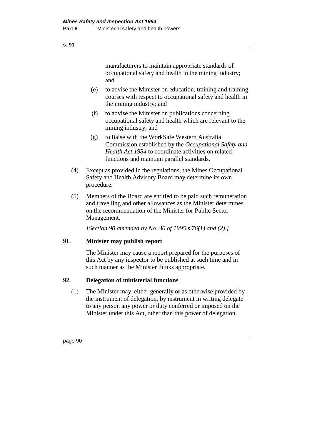manufacturers to maintain appropriate standards of occupational safety and health in the mining industry; and

- (e) to advise the Minister on education, training and training courses with respect to occupational safety and health in the mining industry; and
- (f) to advise the Minister on publications concerning occupational safety and health which are relevant to the mining industry; and
- (g) to liaise with the WorkSafe Western Australia Commission established by the *Occupational Safety and Health Act 1984* to coordinate activities on related functions and maintain parallel standards.
- (4) Except as provided in the regulations, the Mines Occupational Safety and Health Advisory Board may determine its own procedure.
- (5) Members of the Board are entitled to be paid such remuneration and travelling and other allowances as the Minister determines on the recommendation of the Minister for Public Sector Management.

*[Section 90 amended by No. 30 of 1995 s.76(1) and (2).]* 

## **91. Minister may publish report**

The Minister may cause a report prepared for the purposes of this Act by any inspector to be published at such time and in such manner as the Minister thinks appropriate.

## **92. Delegation of ministerial functions**

(1) The Minister may, either generally or as otherwise provided by the instrument of delegation, by instrument in writing delegate to any person any power or duty conferred or imposed on the Minister under this Act, other than this power of delegation.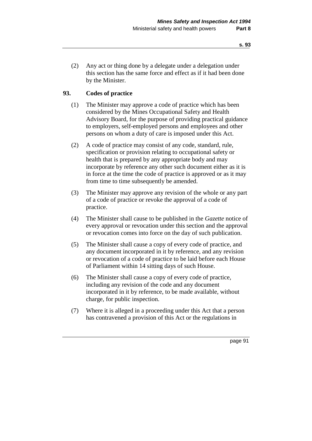(2) Any act or thing done by a delegate under a delegation under this section has the same force and effect as if it had been done by the Minister.

#### **93. Codes of practice**

- (1) The Minister may approve a code of practice which has been considered by the Mines Occupational Safety and Health Advisory Board, for the purpose of providing practical guidance to employers, self-employed persons and employees and other persons on whom a duty of care is imposed under this Act.
- (2) A code of practice may consist of any code, standard, rule, specification or provision relating to occupational safety or health that is prepared by any appropriate body and may incorporate by reference any other such document either as it is in force at the time the code of practice is approved or as it may from time to time subsequently be amended.
- (3) The Minister may approve any revision of the whole or any part of a code of practice or revoke the approval of a code of practice.
- (4) The Minister shall cause to be published in the *Gazette* notice of every approval or revocation under this section and the approval or revocation comes into force on the day of such publication.
- (5) The Minister shall cause a copy of every code of practice, and any document incorporated in it by reference, and any revision or revocation of a code of practice to be laid before each House of Parliament within 14 sitting days of such House.
- (6) The Minister shall cause a copy of every code of practice, including any revision of the code and any document incorporated in it by reference, to be made available, without charge, for public inspection.
- (7) Where it is alleged in a proceeding under this Act that a person has contravened a provision of this Act or the regulations in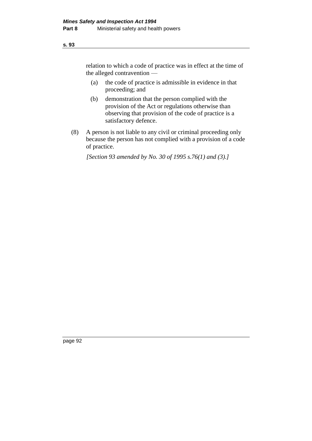relation to which a code of practice was in effect at the time of the alleged contravention —

- (a) the code of practice is admissible in evidence in that proceeding; and
- (b) demonstration that the person complied with the provision of the Act or regulations otherwise than observing that provision of the code of practice is a satisfactory defence.
- (8) A person is not liable to any civil or criminal proceeding only because the person has not complied with a provision of a code of practice.

*[Section 93 amended by No. 30 of 1995 s.76(1) and (3).]*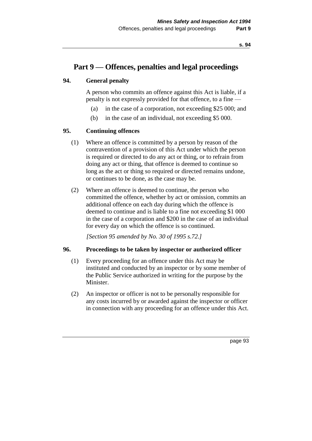# **Part 9 — Offences, penalties and legal proceedings**

### **94. General penalty**

A person who commits an offence against this Act is liable, if a penalty is not expressly provided for that offence, to a fine —

- (a) in the case of a corporation, not exceeding \$25 000; and
- (b) in the case of an individual, not exceeding \$5 000.

#### **95. Continuing offences**

- (1) Where an offence is committed by a person by reason of the contravention of a provision of this Act under which the person is required or directed to do any act or thing, or to refrain from doing any act or thing, that offence is deemed to continue so long as the act or thing so required or directed remains undone, or continues to be done, as the case may be.
- (2) Where an offence is deemed to continue, the person who committed the offence, whether by act or omission, commits an additional offence on each day during which the offence is deemed to continue and is liable to a fine not exceeding \$1 000 in the case of a corporation and \$200 in the case of an individual for every day on which the offence is so continued.

*[Section 95 amended by No. 30 of 1995 s.72.]* 

#### **96. Proceedings to be taken by inspector or authorized officer**

- (1) Every proceeding for an offence under this Act may be instituted and conducted by an inspector or by some member of the Public Service authorized in writing for the purpose by the Minister.
- (2) An inspector or officer is not to be personally responsible for any costs incurred by or awarded against the inspector or officer in connection with any proceeding for an offence under this Act.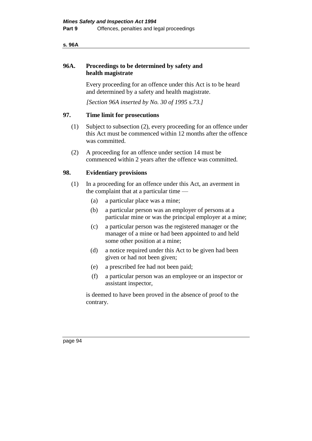#### **s. 96A**

### **96A. Proceedings to be determined by safety and health magistrate**

Every proceeding for an offence under this Act is to be heard and determined by a safety and health magistrate.

*[Section 96A inserted by No. 30 of 1995 s.73.]* 

### **97. Time limit for prosecutions**

- (1) Subject to subsection (2), every proceeding for an offence under this Act must be commenced within 12 months after the offence was committed.
- (2) A proceeding for an offence under section 14 must be commenced within 2 years after the offence was committed.

#### **98. Evidentiary provisions**

- (1) In a proceeding for an offence under this Act, an averment in the complaint that at a particular time —
	- (a) a particular place was a mine;
	- (b) a particular person was an employer of persons at a particular mine or was the principal employer at a mine;
	- (c) a particular person was the registered manager or the manager of a mine or had been appointed to and held some other position at a mine;
	- (d) a notice required under this Act to be given had been given or had not been given;
	- (e) a prescribed fee had not been paid;
	- (f) a particular person was an employee or an inspector or assistant inspector,

is deemed to have been proved in the absence of proof to the contrary.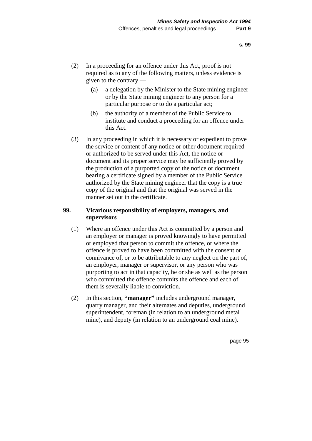- (2) In a proceeding for an offence under this Act, proof is not required as to any of the following matters, unless evidence is given to the contrary —
	- (a) a delegation by the Minister to the State mining engineer or by the State mining engineer to any person for a particular purpose or to do a particular act;
	- (b) the authority of a member of the Public Service to institute and conduct a proceeding for an offence under this Act.
- (3) In any proceeding in which it is necessary or expedient to prove the service or content of any notice or other document required or authorized to be served under this Act, the notice or document and its proper service may be sufficiently proved by the production of a purported copy of the notice or document bearing a certificate signed by a member of the Public Service authorized by the State mining engineer that the copy is a true copy of the original and that the original was served in the manner set out in the certificate.

### **99. Vicarious responsibility of employers, managers, and supervisors**

- (1) Where an offence under this Act is committed by a person and an employer or manager is proved knowingly to have permitted or employed that person to commit the offence, or where the offence is proved to have been committed with the consent or connivance of, or to be attributable to any neglect on the part of, an employer, manager or supervisor, or any person who was purporting to act in that capacity, he or she as well as the person who committed the offence commits the offence and each of them is severally liable to conviction.
- (2) In this section, **"manager"** includes underground manager, quarry manager, and their alternates and deputies, underground superintendent, foreman (in relation to an underground metal mine), and deputy (in relation to an underground coal mine).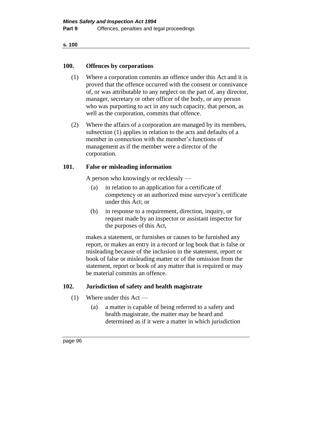#### **100. Offences by corporations**

- (1) Where a corporation commits an offence under this Act and it is proved that the offence occurred with the consent or connivance of, or was attributable to any neglect on the part of, any director, manager, secretary or other officer of the body, or any person who was purporting to act in any such capacity, that person, as well as the corporation, commits that offence.
- (2) Where the affairs of a corporation are managed by its members, subsection (1) applies in relation to the acts and defaults of a member in connection with the member's functions of management as if the member were a director of the corporation.

### **101. False or misleading information**

A person who knowingly or recklessly —

- (a) in relation to an application for a certificate of competency or an authorized mine surveyor's certificate under this Act; or
- (b) in response to a requirement, direction, inquiry, or request made by an inspector or assistant inspector for the purposes of this Act,

makes a statement, or furnishes or causes to be furnished any report, or makes an entry in a record or log book that is false or misleading because of the inclusion in the statement, report or book of false or misleading matter or of the omission from the statement, report or book of any matter that is required or may be material commits an offence.

## **102. Jurisdiction of safety and health magistrate**

- (1) Where under this Act
	- (a) a matter is capable of being referred to a safety and health magistrate, the matter may be heard and determined as if it were a matter in which jurisdiction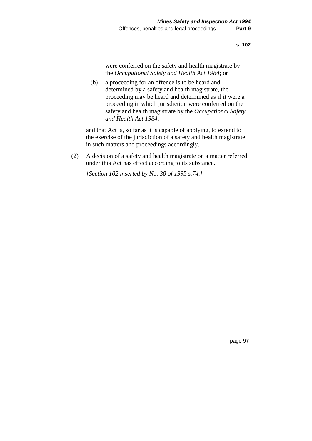were conferred on the safety and health magistrate by the *Occupational Safety and Health Act 1984*; or

(b) a proceeding for an offence is to be heard and determined by a safety and health magistrate, the proceeding may be heard and determined as if it were a proceeding in which jurisdiction were conferred on the safety and health magistrate by the *Occupational Safety and Health Act 1984*,

and that Act is, so far as it is capable of applying, to extend to the exercise of the jurisdiction of a safety and health magistrate in such matters and proceedings accordingly.

(2) A decision of a safety and health magistrate on a matter referred under this Act has effect according to its substance.

*[Section 102 inserted by No. 30 of 1995 s.74.]*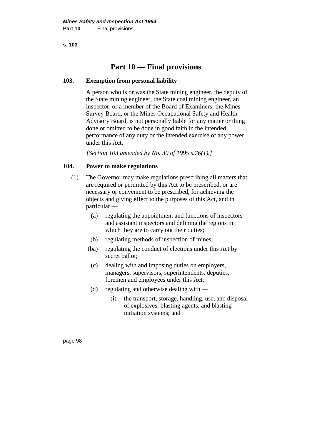# **Part 10 — Final provisions**

## **103. Exemption from personal liability**

A person who is or was the State mining engineer, the deputy of the State mining engineer, the State coal mining engineer, an inspector, or a member of the Board of Examiners, the Mines Survey Board, or the Mines Occupational Safety and Health Advisory Board, is not personally liable for any matter or thing done or omitted to be done in good faith in the intended performance of any duty or the intended exercise of any power under this Act.

*[Section 103 amended by No. 30 of 1995 s.76(1).]* 

## **104. Power to make regulations**

- (1) The Governor may make regulations prescribing all matters that are required or permitted by this Act to be prescribed, or are necessary or convenient to be prescribed, for achieving the objects and giving effect to the purposes of this Act, and in particular —
	- (a) regulating the appointment and functions of inspectors and assistant inspectors and defining the regions in which they are to carry out their duties;
	- (b) regulating methods of inspection of mines;
	- (ba) regulating the conduct of elections under this Act by secret ballot;
	- (c) dealing with and imposing duties on employers, managers, supervisors, superintendents, deputies, foremen and employees under this Act;
	- (d) regulating and otherwise dealing with
		- (i) the transport, storage, handling, use, and disposal of explosives, blasting agents, and blasting initiation systems; and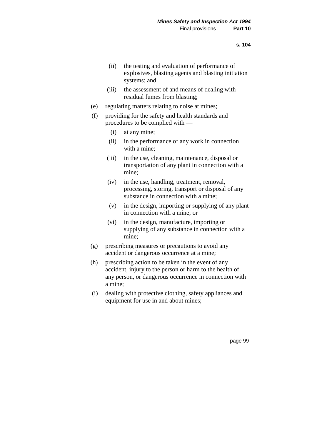- (ii) the testing and evaluation of performance of explosives, blasting agents and blasting initiation systems; and
- (iii) the assessment of and means of dealing with residual fumes from blasting;
- (e) regulating matters relating to noise at mines;
- (f) providing for the safety and health standards and procedures to be complied with —
	- (i) at any mine;
	- (ii) in the performance of any work in connection with a mine;
	- (iii) in the use, cleaning, maintenance, disposal or transportation of any plant in connection with a mine;
	- (iv) in the use, handling, treatment, removal, processing, storing, transport or disposal of any substance in connection with a mine;
	- (v) in the design, importing or supplying of any plant in connection with a mine; or
	- (vi) in the design, manufacture, importing or supplying of any substance in connection with a mine;
- (g) prescribing measures or precautions to avoid any accident or dangerous occurrence at a mine;
- (h) prescribing action to be taken in the event of any accident, injury to the person or harm to the health of any person, or dangerous occurrence in connection with a mine;
- (i) dealing with protective clothing, safety appliances and equipment for use in and about mines;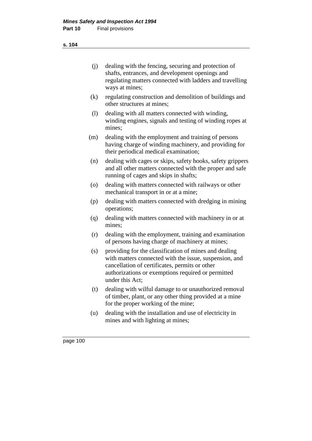| (i) | dealing with the fencing, securing and protection of     |
|-----|----------------------------------------------------------|
|     | shafts, entrances, and development openings and          |
|     | regulating matters connected with ladders and travelling |
|     | ways at mines;                                           |

- (k) regulating construction and demolition of buildings and other structures at mines;
- (l) dealing with all matters connected with winding, winding engines, signals and testing of winding ropes at mines;
- (m) dealing with the employment and training of persons having charge of winding machinery, and providing for their periodical medical examination;
- (n) dealing with cages or skips, safety hooks, safety grippers and all other matters connected with the proper and safe running of cages and skips in shafts;
- (o) dealing with matters connected with railways or other mechanical transport in or at a mine;
- (p) dealing with matters connected with dredging in mining operations;
- (q) dealing with matters connected with machinery in or at mines;
- (r) dealing with the employment, training and examination of persons having charge of machinery at mines;
- (s) providing for the classification of mines and dealing with matters connected with the issue, suspension, and cancellation of certificates, permits or other authorizations or exemptions required or permitted under this Act;
- (t) dealing with wilful damage to or unauthorized removal of timber, plant, or any other thing provided at a mine for the proper working of the mine;
- (u) dealing with the installation and use of electricity in mines and with lighting at mines;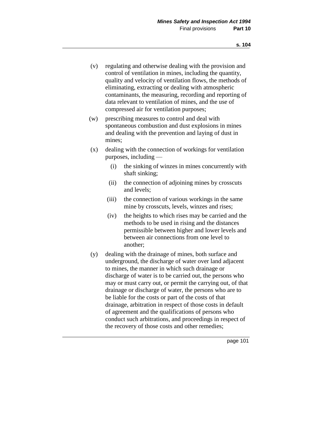- (v) regulating and otherwise dealing with the provision and control of ventilation in mines, including the quantity, quality and velocity of ventilation flows, the methods of eliminating, extracting or dealing with atmospheric contaminants, the measuring, recording and reporting of data relevant to ventilation of mines, and the use of compressed air for ventilation purposes;
- (w) prescribing measures to control and deal with spontaneous combustion and dust explosions in mines and dealing with the prevention and laying of dust in mines;
- (x) dealing with the connection of workings for ventilation purposes, including —
	- (i) the sinking of winzes in mines concurrently with shaft sinking;
	- (ii) the connection of adjoining mines by crosscuts and levels;
	- (iii) the connection of various workings in the same mine by crosscuts, levels, winzes and rises;
	- (iv) the heights to which rises may be carried and the methods to be used in rising and the distances permissible between higher and lower levels and between air connections from one level to another;
- (y) dealing with the drainage of mines, both surface and underground, the discharge of water over land adjacent to mines, the manner in which such drainage or discharge of water is to be carried out, the persons who may or must carry out, or permit the carrying out, of that drainage or discharge of water, the persons who are to be liable for the costs or part of the costs of that drainage, arbitration in respect of those costs in default of agreement and the qualifications of persons who conduct such arbitrations, and proceedings in respect of the recovery of those costs and other remedies;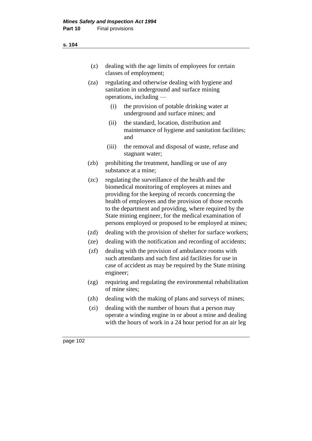- (z) dealing with the age limits of employees for certain classes of employment;
- (za) regulating and otherwise dealing with hygiene and sanitation in underground and surface mining operations, including —
	- (i) the provision of potable drinking water at underground and surface mines; and
	- (ii) the standard, location, distribution and maintenance of hygiene and sanitation facilities; and
	- (iii) the removal and disposal of waste, refuse and stagnant water;
- (zb) prohibiting the treatment, handling or use of any substance at a mine;
- (zc) regulating the surveillance of the health and the biomedical monitoring of employees at mines and providing for the keeping of records concerning the health of employees and the provision of those records to the department and providing, where required by the State mining engineer, for the medical examination of persons employed or proposed to be employed at mines;
- (zd) dealing with the provision of shelter for surface workers;
- (ze) dealing with the notification and recording of accidents;
- (zf) dealing with the provision of ambulance rooms with such attendants and such first aid facilities for use in case of accident as may be required by the State mining engineer;
- (zg) requiring and regulating the environmental rehabilitation of mine sites;
- (zh) dealing with the making of plans and surveys of mines;
- (zi) dealing with the number of hours that a person may operate a winding engine in or about a mine and dealing with the hours of work in a 24 hour period for an air leg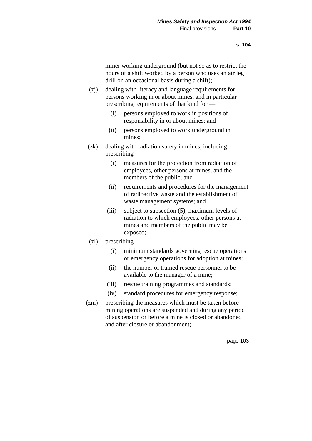miner working underground (but not so as to restrict the hours of a shift worked by a person who uses an air leg drill on an occasional basis during a shift);

- (zj) dealing with literacy and language requirements for persons working in or about mines, and in particular prescribing requirements of that kind for —
	- (i) persons employed to work in positions of responsibility in or about mines; and
	- (ii) persons employed to work underground in mines;
- (zk) dealing with radiation safety in mines, including prescribing —
	- (i) measures for the protection from radiation of employees, other persons at mines, and the members of the public; and
	- (ii) requirements and procedures for the management of radioactive waste and the establishment of waste management systems; and
	- (iii) subject to subsection (5), maximum levels of radiation to which employees, other persons at mines and members of the public may be exposed;
- (zl) prescribing
	- (i) minimum standards governing rescue operations or emergency operations for adoption at mines;
	- (ii) the number of trained rescue personnel to be available to the manager of a mine;
	- (iii) rescue training programmes and standards;
	- (iv) standard procedures for emergency response;
- (zm) prescribing the measures which must be taken before mining operations are suspended and during any period of suspension or before a mine is closed or abandoned and after closure or abandonment;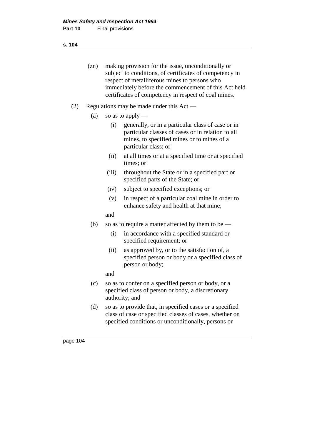**s. 104**

- (zn) making provision for the issue, unconditionally or subject to conditions, of certificates of competency in respect of metalliferous mines to persons who immediately before the commencement of this Act held certificates of competency in respect of coal mines.
- (2) Regulations may be made under this Act
	- (a) so as to apply
		- (i) generally, or in a particular class of case or in particular classes of cases or in relation to all mines, to specified mines or to mines of a particular class; or
		- (ii) at all times or at a specified time or at specified times; or
		- (iii) throughout the State or in a specified part or specified parts of the State; or
		- (iv) subject to specified exceptions; or
		- (v) in respect of a particular coal mine in order to enhance safety and health at that mine;
		- and
	- (b) so as to require a matter affected by them to be
		- (i) in accordance with a specified standard or specified requirement; or
		- (ii) as approved by, or to the satisfaction of, a specified person or body or a specified class of person or body;
		- and
	- (c) so as to confer on a specified person or body, or a specified class of person or body, a discretionary authority; and
	- (d) so as to provide that, in specified cases or a specified class of case or specified classes of cases, whether on specified conditions or unconditionally, persons or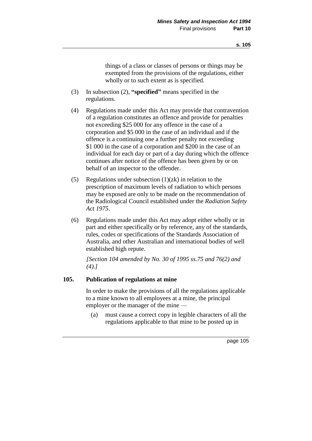things of a class or classes of persons or things may be exempted from the provisions of the regulations, either wholly or to such extent as is specified.

- (3) In subsection (2), **"specified"** means specified in the regulations.
- (4) Regulations made under this Act may provide that contravention of a regulation constitutes an offence and provide for penalties not exceeding \$25 000 for any offence in the case of a corporation and \$5 000 in the case of an individual and if the offence is a continuing one a further penalty not exceeding \$1 000 in the case of a corporation and \$200 in the case of an individual for each day or part of a day during which the offence continues after notice of the offence has been given by or on behalf of an inspector to the offender.
- (5) Regulations under subsection  $(1)(zk)$  in relation to the prescription of maximum levels of radiation to which persons may be exposed are only to be made on the recommendation of the Radiological Council established under the *Radiation Safety Act 1975*.
- (6) Regulations made under this Act may adopt either wholly or in part and either specifically or by reference, any of the standards, rules, codes or specifications of the Standards Association of Australia, and other Australian and international bodies of well established high repute.

*[Section 104 amended by No. 30 of 1995 ss.75 and 76(2) and (4).]* 

# **105. Publication of regulations at mine**

In order to make the provisions of all the regulations applicable to a mine known to all employees at a mine, the principal employer or the manager of the mine —

(a) must cause a correct copy in legible characters of all the regulations applicable to that mine to be posted up in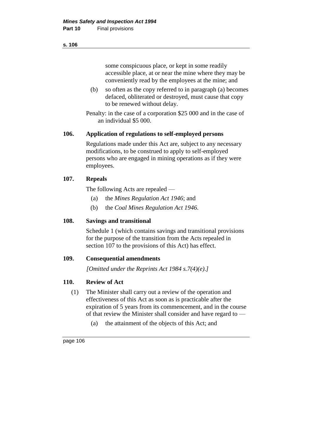some conspicuous place, or kept in some readily accessible place, at or near the mine where they may be conveniently read by the employees at the mine; and

(b) so often as the copy referred to in paragraph (a) becomes defaced, obliterated or destroyed, must cause that copy to be renewed without delay.

Penalty: in the case of a corporation \$25 000 and in the case of an individual \$5 000.

# **106. Application of regulations to self-employed persons**

Regulations made under this Act are, subject to any necessary modifications, to be construed to apply to self-employed persons who are engaged in mining operations as if they were employees.

# **107. Repeals**

The following Acts are repealed —

- (a) the *Mines Regulation Act 1946*; and
- (b) the *Coal Mines Regulation Act 1946*.

# **108. Savings and transitional**

Schedule 1 (which contains savings and transitional provisions for the purpose of the transition from the Acts repealed in section 107 to the provisions of this Act) has effect.

# **109. Consequential amendments**

*[Omitted under the Reprints Act 1984 s.7(4)(e).]*

# **110. Review of Act**

- (1) The Minister shall carry out a review of the operation and effectiveness of this Act as soon as is practicable after the expiration of 5 years from its commencement, and in the course of that review the Minister shall consider and have regard to —
	- (a) the attainment of the objects of this Act; and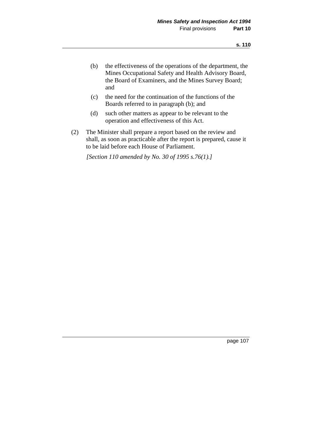- (b) the effectiveness of the operations of the department, the Mines Occupational Safety and Health Advisory Board, the Board of Examiners, and the Mines Survey Board; and
- (c) the need for the continuation of the functions of the Boards referred to in paragraph (b); and
- (d) such other matters as appear to be relevant to the operation and effectiveness of this Act.
- (2) The Minister shall prepare a report based on the review and shall, as soon as practicable after the report is prepared, cause it to be laid before each House of Parliament.

*[Section 110 amended by No. 30 of 1995 s.76(1).]*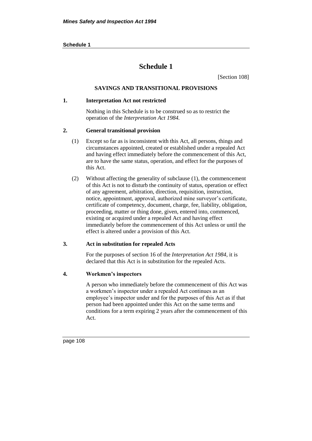#### **Schedule 1**

# **Schedule 1**

[Section 108]

# **SAVINGS AND TRANSITIONAL PROVISIONS**

#### **1. Interpretation Act not restricted**

Nothing in this Schedule is to be construed so as to restrict the operation of the *Interpretation Act 1984.*

#### **2. General transitional provision**

- (1) Except so far as is inconsistent with this Act, all persons, things and circumstances appointed, created or established under a repealed Act and having effect immediately before the commencement of this Act, are to have the same status, operation, and effect for the purposes of this Act.
- (2) Without affecting the generality of subclause (1), the commencement of this Act is not to disturb the continuity of status, operation or effect of any agreement, arbitration, direction, requisition, instruction, notice, appointment, approval, authorized mine surveyor's certificate, certificate of competency, document, charge, fee, liability, obligation, proceeding, matter or thing done, given, entered into, commenced, existing or acquired under a repealed Act and having effect immediately before the commencement of this Act unless or until the effect is altered under a provision of this Act.

#### **3. Act in substitution for repealed Acts**

For the purposes of section 16 of the *Interpretation Act 1984,* it is declared that this Act is in substitution for the repealed Acts.

#### **4. Workmen's inspectors**

A person who immediately before the commencement of this Act was a workmen's inspector under a repealed Act continues as an employee's inspector under and for the purposes of this Act as if that person had been appointed under this Act on the same terms and conditions for a term expiring 2 years after the commencement of this Act.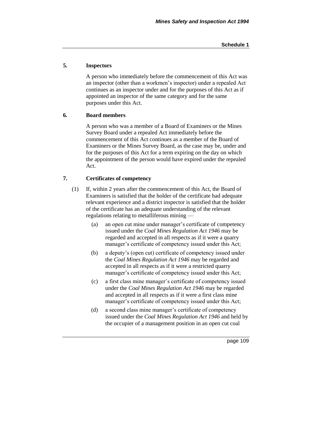### **5. Inspectors**

A person who immediately before the commencement of this Act was an inspector (other than a workmen's inspector) under a repealed Act continues as an inspector under and for the purposes of this Act as if appointed an inspector of the same category and for the same purposes under this Act.

#### **6. Board members**

A person who was a member of a Board of Examiners or the Mines Survey Board under a repealed Act immediately before the commencement of this Act continues as a member of the Board of Examiners or the Mines Survey Board, as the case may be, under and for the purposes of this Act for a term expiring on the day on which the appointment of the person would have expired under the repealed Act.

#### **7. Certificates of competency**

- (1) If, within 2 years after the commencement of this Act, the Board of Examiners is satisfied that the holder of the certificate had adequate relevant experience and a district inspector is satisfied that the holder of the certificate has an adequate understanding of the relevant regulations relating to metalliferous mining —
	- (a) an open cut mine under manager's certificate of competency issued under the *Coal Mines Regulation Act 1946* may be regarded and accepted in all respects as if it were a quarry manager's certificate of competency issued under this Act;
	- (b) a deputy's (open cut) certificate of competency issued under the *Coal Mines Regulation Act 1946* may be regarded and accepted in all respects as if it were a restricted quarry manager's certificate of competency issued under this Act;
	- (c) a first class mine manager's certificate of competency issued under the *Coal Mines Regulation Act 1946* may be regarded and accepted in all respects as if it were a first class mine manager's certificate of competency issued under this Act;
	- (d) a second class mine manager's certificate of competency issued under the *Coal Mines Regulation Act 1946* and held by the occupier of a management position in an open cut coal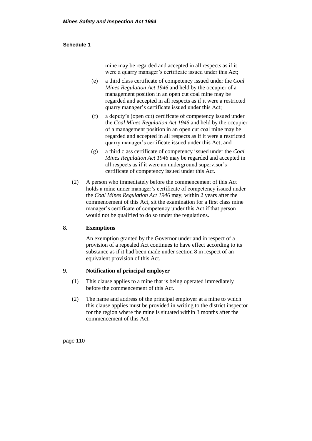#### **Schedule 1**

mine may be regarded and accepted in all respects as if it were a quarry manager's certificate issued under this Act;

- (e) a third class certificate of competency issued under the *Coal Mines Regulation Act 1946* and held by the occupier of a management position in an open cut coal mine may be regarded and accepted in all respects as if it were a restricted quarry manager's certificate issued under this Act;
- (f) a deputy's (open cut) certificate of competency issued under the *Coal Mines Regulation Act 1946* and held by the occupier of a management position in an open cut coal mine may be regarded and accepted in all respects as if it were a restricted quarry manager's certificate issued under this Act; and
- (g) a third class certificate of competency issued under the *Coal Mines Regulation Act 1946* may be regarded and accepted in all respects as if it were an underground supervisor's certificate of competency issued under this Act.
- (2) A person who immediately before the commencement of this Act holds a mine under manager's certificate of competency issued under the *Coal Mines Regulation Act 1946* may, within 2 years after the commencement of this Act, sit the examination for a first class mine manager's certificate of competency under this Act if that person would not be qualified to do so under the regulations.

# **8. Exemptions**

An exemption granted by the Governor under and in respect of a provision of a repealed Act continues to have effect according to its substance as if it had been made under section 8 in respect of an equivalent provision of this Act.

# **9. Notification of principal employer**

- (1) This clause applies to a mine that is being operated immediately before the commencement of this Act.
- (2) The name and address of the principal employer at a mine to which this clause applies must be provided in writing to the district inspector for the region where the mine is situated within 3 months after the commencement of this Act.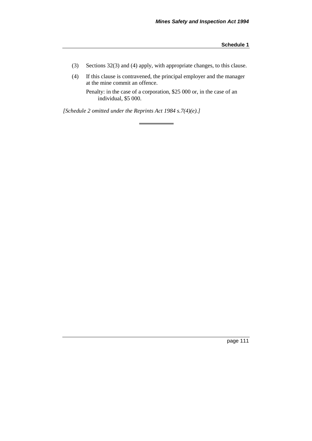- (3) Sections 32(3) and (4) apply, with appropriate changes, to this clause.
- (4) If this clause is contravened, the principal employer and the manager at the mine commit an offence.

Penalty: in the case of a corporation, \$25 000 or, in the case of an individual, \$5 000.

*[Schedule 2 omitted under the Reprints Act 1984 s.7(4)(e).]*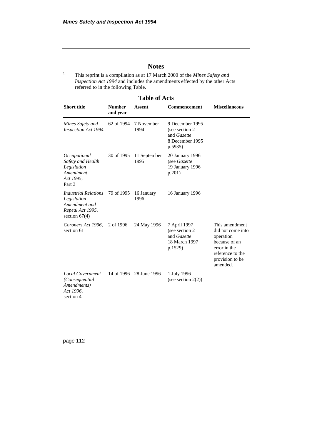# **Notes**

1. This reprint is a compilation as at 17 March 2000 of the *Mines Safety and Inspection Act 1994* and includes the amendments effected by the other Acts referred to in the following Table.

| <b>Table of Acts</b>                                                                               |                           |                      |                                                                                 |                                                                                                                                      |  |  |
|----------------------------------------------------------------------------------------------------|---------------------------|----------------------|---------------------------------------------------------------------------------|--------------------------------------------------------------------------------------------------------------------------------------|--|--|
| <b>Short title</b>                                                                                 | <b>Number</b><br>and year | <b>Assent</b>        | Commencement                                                                    | <b>Miscellaneous</b>                                                                                                                 |  |  |
| Mines Safety and<br><b>Inspection Act 1994</b>                                                     | 62 of 1994                | 7 November<br>1994   | 9 December 1995<br>(see section 2)<br>and Gazette<br>8 December 1995<br>p.5935) |                                                                                                                                      |  |  |
| Occupational<br>Safety and Health<br>Legislation<br>Amendment<br>Act 1995,<br>Part 3               | 30 of 1995                | 11 September<br>1995 | 20 January 1996<br>(see Gazette<br>19 January 1996<br>p.201)                    |                                                                                                                                      |  |  |
| <b>Industrial Relations</b><br>Legislation<br>Amendment and<br>Repeal Act 1995,<br>section $67(4)$ | 79 of 1995                | 16 January<br>1996   | 16 January 1996                                                                 |                                                                                                                                      |  |  |
| Coroners Act 1996,<br>section 61                                                                   | 2 of 1996                 | 24 May 1996          | 7 April 1997<br>(see section 2)<br>and Gazette<br>18 March 1997<br>p.1529)      | This amendment<br>did not come into<br>operation<br>because of an<br>error in the<br>reference to the<br>provision to be<br>amended. |  |  |
| <b>Local Government</b><br>(Consequential<br>Amendments)<br>Act 1996,<br>section 4                 | 14 of 1996                | 28 June 1996         | 1 July 1996<br>(see section $2(2)$ )                                            |                                                                                                                                      |  |  |

**Table of Acts**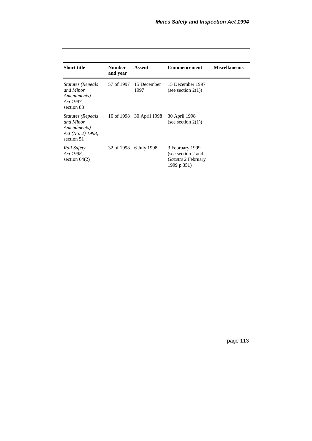|                                                                                        |                           | Assent              | <b>Commencement</b>                                                               | <b>Miscellaneous</b> |
|----------------------------------------------------------------------------------------|---------------------------|---------------------|-----------------------------------------------------------------------------------|----------------------|
| <b>Short title</b>                                                                     | <b>Number</b><br>and year |                     |                                                                                   |                      |
| <i><b>Statutes (Repeals</b></i><br>and Minor<br>Amendments)<br>Act 1997,<br>section 88 | 57 of 1997                | 15 December<br>1997 | 15 December 1997<br>(see section $2(1)$ )                                         |                      |
| <i>Statutes (Repeals</i><br>and Minor<br>Amendments)<br>Act(No. 2) 1998,<br>section 51 | 10 of 1998                | 30 April 1998       | 30 April 1998<br>(see section $2(1)$ )                                            |                      |
| Rail Safety<br>Act 1998,<br>section $64(2)$                                            | 32 of 1998                | 6 July 1998         | 3 February 1999<br>(see section 2 and<br><i>Gazette</i> 2 February<br>1999 p.351) |                      |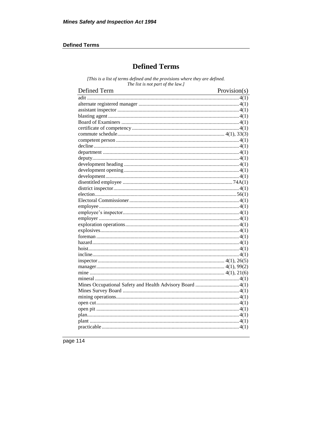# **Defined Terms**

# **Defined Terms**

[This is a list of terms defined and the provisions where they are defined. The list is not part of the law.]

| Defined Term | Provision(s) |
|--------------|--------------|
|              |              |
|              |              |
|              |              |
|              |              |
|              |              |
|              |              |
|              |              |
|              |              |
|              |              |
|              |              |
|              |              |
|              |              |
|              |              |
|              |              |
|              |              |
|              |              |
|              |              |
|              |              |
|              |              |
|              |              |
|              |              |
|              |              |
|              |              |
|              |              |
|              |              |
|              |              |
|              |              |
|              |              |
|              |              |
|              |              |
|              |              |
|              |              |
|              |              |
|              |              |
|              |              |
|              |              |
|              |              |
|              |              |
|              |              |
|              |              |